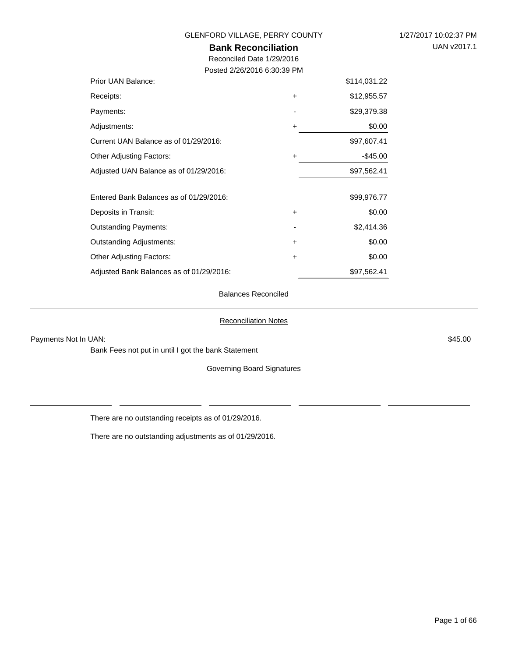**Bank Reconciliation**

Reconciled Date 1/29/2016 Posted 2/26/2016 6:30:39 PM

| Prior UAN Balance:                       |           | \$114,031.22 |
|------------------------------------------|-----------|--------------|
| Receipts:                                | $\ddot{}$ | \$12,955.57  |
| Payments:                                |           | \$29,379.38  |
| Adjustments:                             | $\ddot{}$ | \$0.00       |
| Current UAN Balance as of 01/29/2016:    |           | \$97,607.41  |
| Other Adjusting Factors:                 | +         | $-$ \$45.00  |
| Adjusted UAN Balance as of 01/29/2016:   |           | \$97,562.41  |
| Entered Bank Balances as of 01/29/2016:  |           | \$99,976.77  |
| Deposits in Transit:                     | +         | \$0.00       |
| <b>Outstanding Payments:</b>             |           | \$2,414.36   |
| Outstanding Adjustments:                 | $\ddot{}$ | \$0.00       |
| Other Adjusting Factors:                 | +         | \$0.00       |
| Adjusted Bank Balances as of 01/29/2016: |           | \$97,562.41  |

Balances Reconciled

Reconciliation Notes

Payments Not In UAN: \$45.00

Bank Fees not put in until I got the bank Statement

Governing Board Signatures

There are no outstanding receipts as of 01/29/2016.

There are no outstanding adjustments as of 01/29/2016.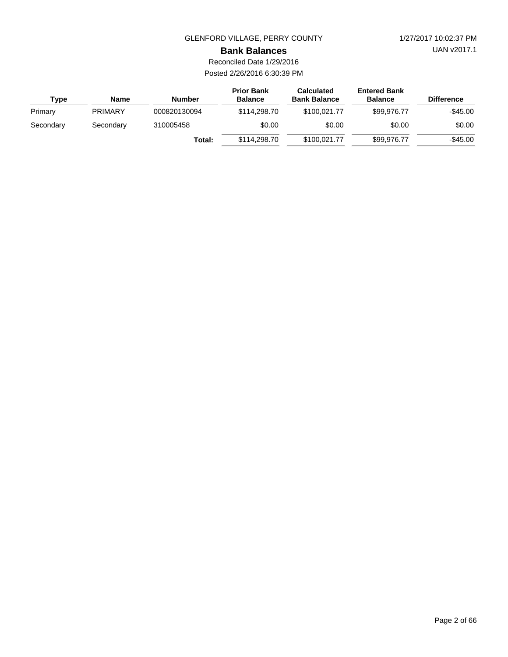UAN v2017.1

#### **Bank Balances**

Reconciled Date 1/29/2016 Posted 2/26/2016 6:30:39 PM

| Type      | Name           | <b>Number</b> | <b>Prior Bank</b><br><b>Balance</b> | <b>Calculated</b><br><b>Bank Balance</b> | <b>Entered Bank</b><br><b>Balance</b> | <b>Difference</b> |
|-----------|----------------|---------------|-------------------------------------|------------------------------------------|---------------------------------------|-------------------|
| Primary   | <b>PRIMARY</b> | 000820130094  | \$114,298,70                        | \$100.021.77                             | \$99,976.77                           | $-$45.00$         |
| Secondary | Secondary      | 310005458     | \$0.00                              | \$0.00                                   | \$0.00                                | \$0.00            |
|           |                | Total:        | \$114,298,70                        | \$100.021.77                             | \$99,976.77                           | $-$ \$45.00       |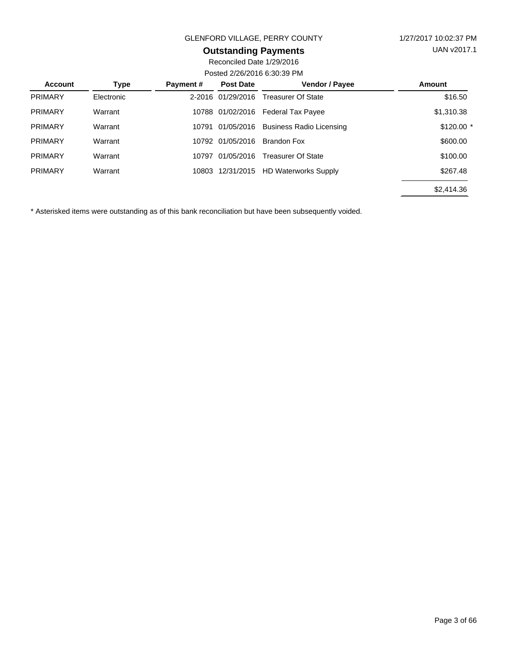## **Outstanding Payments**

Reconciled Date 1/29/2016 Posted 2/26/2016 6:30:39 PM

| <b>Account</b> | <b>Type</b> | Payment#   | <b>Post Date</b> | Vendor / Payee                  | <b>Amount</b> |  |  |
|----------------|-------------|------------|------------------|---------------------------------|---------------|--|--|
| <b>PRIMARY</b> | Electronic  | $2 - 2016$ | 01/29/2016       | <b>Treasurer Of State</b>       | \$16.50       |  |  |
| <b>PRIMARY</b> | Warrant     | 10788      | 01/02/2016       | <b>Federal Tax Payee</b>        | \$1,310.38    |  |  |
| <b>PRIMARY</b> | Warrant     | 10791      | 01/05/2016       | <b>Business Radio Licensing</b> | $$120.00$ *   |  |  |
| <b>PRIMARY</b> | Warrant     | 10792      | 01/05/2016       | Brandon Fox                     | \$600.00      |  |  |
| <b>PRIMARY</b> | Warrant     | 10797      | 01/05/2016       | <b>Treasurer Of State</b>       | \$100.00      |  |  |
| <b>PRIMARY</b> | Warrant     |            | 10803 12/31/2015 | <b>HD Waterworks Supply</b>     | \$267.48      |  |  |
|                |             |            |                  |                                 | \$2,414.36    |  |  |
|                |             |            |                  |                                 |               |  |  |

\* Asterisked items were outstanding as of this bank reconciliation but have been subsequently voided.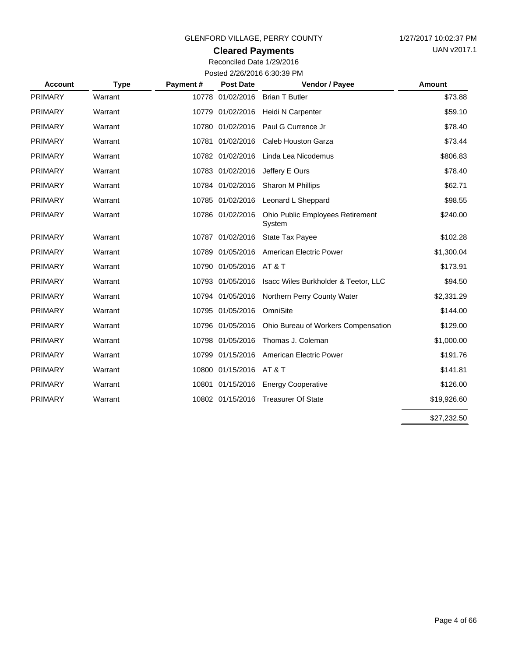## **Cleared Payments**

Reconciled Date 1/29/2016 Posted 2/26/2016 6:30:39 PM

| <b>Account</b> | <b>Type</b> | Payment# | <b>Post Date</b>        | Vendor / Payee                                    | <b>Amount</b> |
|----------------|-------------|----------|-------------------------|---------------------------------------------------|---------------|
| <b>PRIMARY</b> | Warrant     |          | 10778 01/02/2016        | <b>Brian T Butler</b>                             | \$73.88       |
| <b>PRIMARY</b> | Warrant     |          | 10779 01/02/2016        | Heidi N Carpenter                                 | \$59.10       |
| <b>PRIMARY</b> | Warrant     |          | 10780 01/02/2016        | Paul G Currence Jr                                | \$78.40       |
| <b>PRIMARY</b> | Warrant     |          | 10781 01/02/2016        | Caleb Houston Garza                               | \$73.44       |
| <b>PRIMARY</b> | Warrant     |          | 10782 01/02/2016        | Linda Lea Nicodemus                               | \$806.83      |
| <b>PRIMARY</b> | Warrant     |          | 10783 01/02/2016        | Jeffery E Ours                                    | \$78.40       |
| <b>PRIMARY</b> | Warrant     |          | 10784 01/02/2016        | Sharon M Phillips                                 | \$62.71       |
| <b>PRIMARY</b> | Warrant     |          | 10785 01/02/2016        | Leonard L Sheppard                                | \$98.55       |
| <b>PRIMARY</b> | Warrant     |          | 10786 01/02/2016        | <b>Ohio Public Employees Retirement</b><br>System | \$240.00      |
| <b>PRIMARY</b> | Warrant     |          | 10787 01/02/2016        | <b>State Tax Payee</b>                            | \$102.28      |
| <b>PRIMARY</b> | Warrant     |          | 10789 01/05/2016        | <b>American Electric Power</b>                    | \$1,300.04    |
| <b>PRIMARY</b> | Warrant     |          | 10790 01/05/2016        | AT & T                                            | \$173.91      |
| <b>PRIMARY</b> | Warrant     |          | 10793 01/05/2016        | Isacc Wiles Burkholder & Teetor, LLC              | \$94.50       |
| <b>PRIMARY</b> | Warrant     |          | 10794 01/05/2016        | Northern Perry County Water                       | \$2,331.29    |
| <b>PRIMARY</b> | Warrant     |          | 10795 01/05/2016        | OmniSite                                          | \$144.00      |
| <b>PRIMARY</b> | Warrant     |          | 10796 01/05/2016        | Ohio Bureau of Workers Compensation               | \$129.00      |
| <b>PRIMARY</b> | Warrant     |          | 10798 01/05/2016        | Thomas J. Coleman                                 | \$1,000.00    |
| <b>PRIMARY</b> | Warrant     |          | 10799 01/15/2016        | American Electric Power                           | \$191.76      |
| <b>PRIMARY</b> | Warrant     |          | 10800 01/15/2016 AT & T |                                                   | \$141.81      |
| <b>PRIMARY</b> | Warrant     |          | 10801 01/15/2016        | <b>Energy Cooperative</b>                         | \$126.00      |
| <b>PRIMARY</b> | Warrant     |          | 10802 01/15/2016        | <b>Treasurer Of State</b>                         | \$19,926.60   |
|                |             |          |                         |                                                   | \$27,232.50   |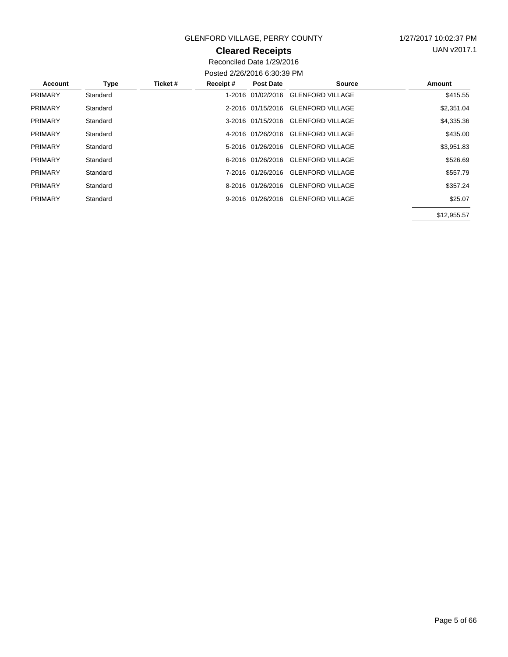## **Cleared Receipts**

UAN v2017.1

Reconciled Date 1/29/2016 Posted 2/26/2016 6:30:39 PM

| Account        | <b>Type</b> | Ticket # | Receipt# | <b>Post Date</b>  | Source                             | Amount      |
|----------------|-------------|----------|----------|-------------------|------------------------------------|-------------|
| <b>PRIMARY</b> | Standard    |          |          | 1-2016 01/02/2016 | <b>GLENFORD VILLAGE</b>            | \$415.55    |
| <b>PRIMARY</b> | Standard    |          |          |                   | 2-2016 01/15/2016 GLENFORD VILLAGE | \$2,351.04  |
| <b>PRIMARY</b> | Standard    |          |          |                   | 3-2016 01/15/2016 GLENFORD VILLAGE | \$4,335.36  |
| <b>PRIMARY</b> | Standard    |          |          | 4-2016 01/26/2016 | <b>GLENFORD VILLAGE</b>            | \$435.00    |
| <b>PRIMARY</b> | Standard    |          |          |                   | 5-2016 01/26/2016 GLENFORD VILLAGE | \$3,951.83  |
| <b>PRIMARY</b> | Standard    |          |          |                   | 6-2016 01/26/2016 GLENFORD VILLAGE | \$526.69    |
| <b>PRIMARY</b> | Standard    |          |          | 7-2016 01/26/2016 | <b>GLENFORD VILLAGE</b>            | \$557.79    |
| <b>PRIMARY</b> | Standard    |          |          |                   | 8-2016 01/26/2016 GLENFORD VILLAGE | \$357.24    |
| <b>PRIMARY</b> | Standard    |          |          |                   | 9-2016 01/26/2016 GLENFORD VILLAGE | \$25.07     |
|                |             |          |          |                   |                                    | \$12,955.57 |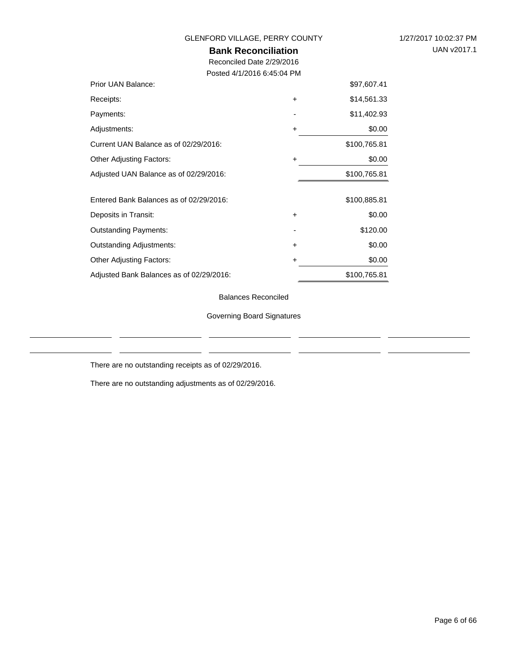**Bank Reconciliation**

Reconciled Date 2/29/2016 Posted 4/1/2016 6:45:04 PM

| Prior UAN Balance:                       |           | \$97,607.41  |
|------------------------------------------|-----------|--------------|
| Receipts:                                | $\ddot{}$ | \$14,561.33  |
| Payments:                                |           | \$11,402.93  |
| Adjustments:                             | +         | \$0.00       |
| Current UAN Balance as of 02/29/2016:    |           | \$100,765.81 |
| <b>Other Adjusting Factors:</b>          | $\ddot{}$ | \$0.00       |
| Adjusted UAN Balance as of 02/29/2016:   |           | \$100,765.81 |
|                                          |           |              |
| Entered Bank Balances as of 02/29/2016:  |           | \$100,885.81 |
| Deposits in Transit:                     | $\ddot{}$ | \$0.00       |
| <b>Outstanding Payments:</b>             |           | \$120.00     |
| <b>Outstanding Adjustments:</b>          | $\ddot{}$ | \$0.00       |
| <b>Other Adjusting Factors:</b>          | +         | \$0.00       |
| Adjusted Bank Balances as of 02/29/2016: |           | \$100,765.81 |

Balances Reconciled

Governing Board Signatures

There are no outstanding receipts as of 02/29/2016.

There are no outstanding adjustments as of 02/29/2016.

 $\mathbf{r}$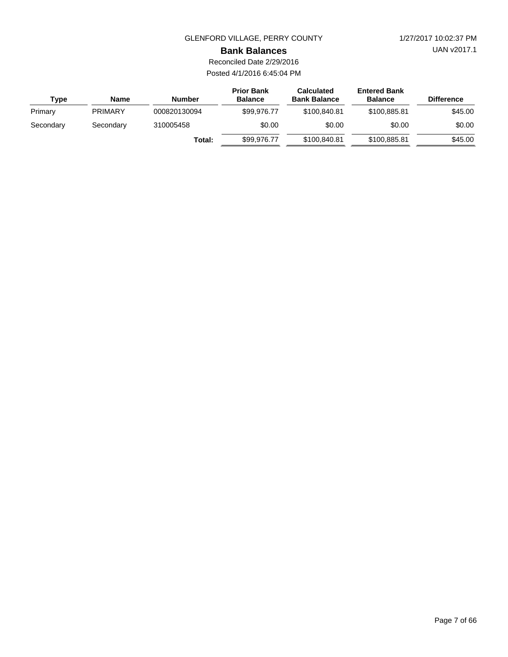UAN v2017.1

#### **Bank Balances**

Reconciled Date 2/29/2016 Posted 4/1/2016 6:45:04 PM

| <b>Type</b> | Name           | <b>Number</b> | <b>Prior Bank</b><br><b>Balance</b> | <b>Calculated</b><br><b>Bank Balance</b> | <b>Entered Bank</b><br><b>Balance</b> | <b>Difference</b> |
|-------------|----------------|---------------|-------------------------------------|------------------------------------------|---------------------------------------|-------------------|
| Primary     | <b>PRIMARY</b> | 000820130094  | \$99,976,77                         | \$100,840.81                             | \$100.885.81                          | \$45.00           |
| Secondary   | Secondary      | 310005458     | \$0.00                              | \$0.00                                   | \$0.00                                | \$0.00            |
|             |                | Total:        | \$99,976,77                         | \$100,840.81                             | \$100.885.81                          | \$45.00           |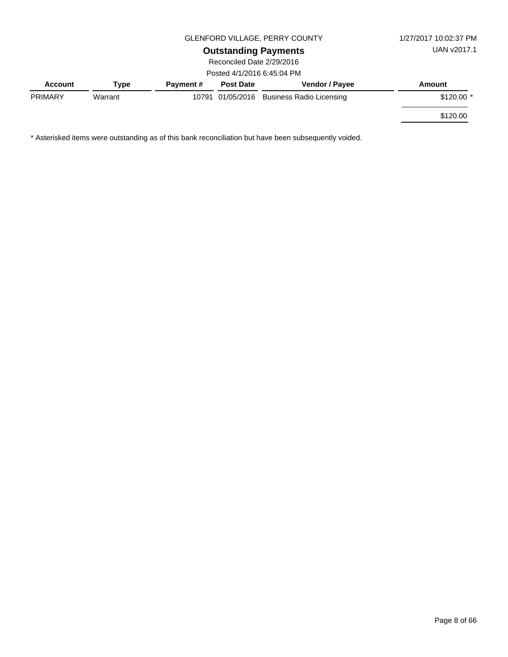**Outstanding Payments**

Reconciled Date 2/29/2016 Posted 4/1/2016 6:45:04 PM

|                           | $0.400$ + $1/2010$ $0.400$ |                  |                  |                                           |             |  |  |  |
|---------------------------|----------------------------|------------------|------------------|-------------------------------------------|-------------|--|--|--|
| Account                   | Type                       | <b>Payment #</b> | <b>Post Date</b> | <b>Vendor / Payee</b>                     | Amount      |  |  |  |
| <b>PRIMARY</b><br>Warrant |                            |                  |                  | 10791 01/05/2016 Business Radio Licensing | $$120.00$ * |  |  |  |
|                           |                            |                  |                  |                                           | \$120.00    |  |  |  |

\* Asterisked items were outstanding as of this bank reconciliation but have been subsequently voided.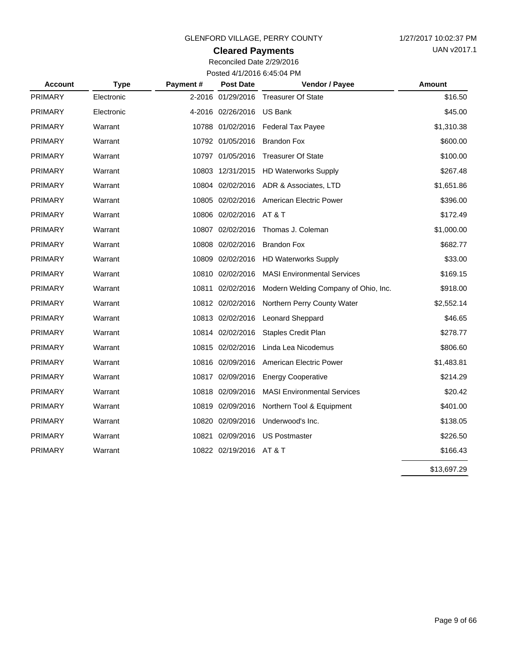## **Cleared Payments**

Reconciled Date 2/29/2016 Posted 4/1/2016 6:45:04 PM

| <b>Account</b> | <b>Type</b> | Payment# | <b>Post Date</b>        | Vendor / Payee                       | Amount      |
|----------------|-------------|----------|-------------------------|--------------------------------------|-------------|
| <b>PRIMARY</b> | Electronic  |          | 2-2016 01/29/2016       | <b>Treasurer Of State</b>            | \$16.50     |
| <b>PRIMARY</b> | Electronic  |          | 4-2016 02/26/2016       | <b>US Bank</b>                       | \$45.00     |
| <b>PRIMARY</b> | Warrant     |          | 10788 01/02/2016        | <b>Federal Tax Payee</b>             | \$1,310.38  |
| <b>PRIMARY</b> | Warrant     |          | 10792 01/05/2016        | <b>Brandon Fox</b>                   | \$600.00    |
| <b>PRIMARY</b> | Warrant     |          | 10797 01/05/2016        | <b>Treasurer Of State</b>            | \$100.00    |
| <b>PRIMARY</b> | Warrant     |          | 10803 12/31/2015        | <b>HD Waterworks Supply</b>          | \$267.48    |
| <b>PRIMARY</b> | Warrant     |          | 10804 02/02/2016        | ADR & Associates, LTD                | \$1,651.86  |
| <b>PRIMARY</b> | Warrant     |          | 10805 02/02/2016        | American Electric Power              | \$396.00    |
| <b>PRIMARY</b> | Warrant     |          | 10806 02/02/2016        | AT & T                               | \$172.49    |
| <b>PRIMARY</b> | Warrant     |          | 10807 02/02/2016        | Thomas J. Coleman                    | \$1,000.00  |
| <b>PRIMARY</b> | Warrant     |          | 10808 02/02/2016        | <b>Brandon Fox</b>                   | \$682.77    |
| <b>PRIMARY</b> | Warrant     |          | 10809 02/02/2016        | <b>HD Waterworks Supply</b>          | \$33.00     |
| <b>PRIMARY</b> | Warrant     |          | 10810 02/02/2016        | <b>MASI Environmental Services</b>   | \$169.15    |
| <b>PRIMARY</b> | Warrant     |          | 10811 02/02/2016        | Modern Welding Company of Ohio, Inc. | \$918.00    |
| <b>PRIMARY</b> | Warrant     |          | 10812 02/02/2016        | Northern Perry County Water          | \$2,552.14  |
| <b>PRIMARY</b> | Warrant     |          | 10813 02/02/2016        | <b>Leonard Sheppard</b>              | \$46.65     |
| <b>PRIMARY</b> | Warrant     |          | 10814 02/02/2016        | <b>Staples Credit Plan</b>           | \$278.77    |
| <b>PRIMARY</b> | Warrant     |          | 10815 02/02/2016        | Linda Lea Nicodemus                  | \$806.60    |
| <b>PRIMARY</b> | Warrant     |          | 10816 02/09/2016        | American Electric Power              | \$1,483.81  |
| <b>PRIMARY</b> | Warrant     |          | 10817 02/09/2016        | <b>Energy Cooperative</b>            | \$214.29    |
| <b>PRIMARY</b> | Warrant     |          | 10818 02/09/2016        | <b>MASI Environmental Services</b>   | \$20.42     |
| <b>PRIMARY</b> | Warrant     |          | 10819 02/09/2016        | Northern Tool & Equipment            | \$401.00    |
| <b>PRIMARY</b> | Warrant     |          | 10820 02/09/2016        | Underwood's Inc.                     | \$138.05    |
| <b>PRIMARY</b> | Warrant     |          | 10821 02/09/2016        | <b>US Postmaster</b>                 | \$226.50    |
| <b>PRIMARY</b> | Warrant     |          | 10822 02/19/2016 AT & T |                                      | \$166.43    |
|                |             |          |                         |                                      | \$13,697.29 |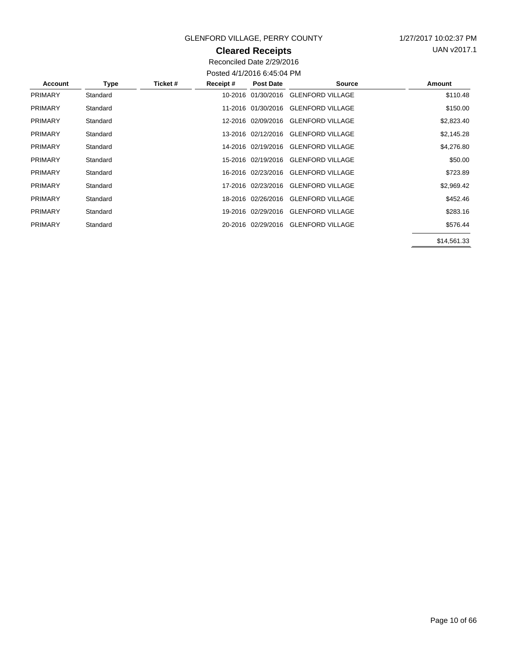## **Cleared Receipts**

UAN v2017.1

Reconciled Date 2/29/2016 Posted 4/1/2016 6:45:04 PM

| Account        | Type     | Ticket # | Receipt# | Post Date          | <b>Source</b>                       | Amount      |
|----------------|----------|----------|----------|--------------------|-------------------------------------|-------------|
| <b>PRIMARY</b> | Standard |          |          | 10-2016 01/30/2016 | <b>GLENFORD VILLAGE</b>             | \$110.48    |
| <b>PRIMARY</b> | Standard |          |          |                    | 11-2016 01/30/2016 GLENFORD VILLAGE | \$150.00    |
| <b>PRIMARY</b> | Standard |          |          |                    | 12-2016 02/09/2016 GLENFORD VILLAGE | \$2,823.40  |
| <b>PRIMARY</b> | Standard |          |          |                    | 13-2016 02/12/2016 GLENFORD VILLAGE | \$2,145.28  |
| <b>PRIMARY</b> | Standard |          |          |                    | 14-2016 02/19/2016 GLENFORD VILLAGE | \$4,276.80  |
| <b>PRIMARY</b> | Standard |          |          |                    | 15-2016 02/19/2016 GLENFORD VILLAGE | \$50.00     |
| <b>PRIMARY</b> | Standard |          |          |                    | 16-2016 02/23/2016 GLENFORD VILLAGE | \$723.89    |
| <b>PRIMARY</b> | Standard |          |          |                    | 17-2016 02/23/2016 GLENFORD VILLAGE | \$2,969.42  |
| <b>PRIMARY</b> | Standard |          |          | 18-2016 02/26/2016 | <b>GLENFORD VILLAGE</b>             | \$452.46    |
| <b>PRIMARY</b> | Standard |          |          |                    | 19-2016 02/29/2016 GLENFORD VILLAGE | \$283.16    |
| <b>PRIMARY</b> | Standard |          |          |                    | 20-2016 02/29/2016 GLENFORD VILLAGE | \$576.44    |
|                |          |          |          |                    |                                     | \$14,561.33 |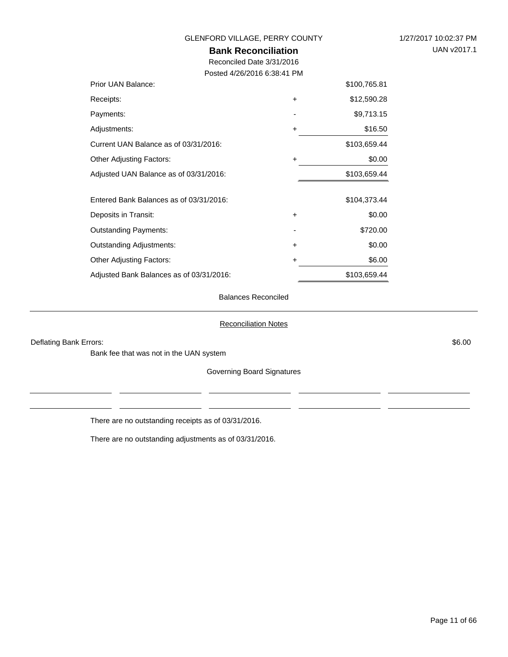#### **Bank Reconciliation** Reconciled Date 3/31/2016 Posted 4/26/2016 6:38:41 PM Prior UAN Balance: Current UAN Balance as of 03/31/2016: Other Adjusting Factors: \$100,765.81 \$12,590.28 \$9,713.15 \$16.50 \$103,659.44 \$0.00 + - + +

Adjusted UAN Balance as of 03/31/2016: Entered Bank Balances as of 03/31/2016: Deposits in Transit: Outstanding Payments: Outstanding Adjustments: Other Adjusting Factors: Adjusted Bank Balances as of 03/31/2016: \$103,659.44 \$103,659.44 \$104,373.44 \$0.00 \$720.00 \$0.00 \$6.00 + - + +

Balances Reconciled

#### Reconciliation Notes

Deflating Bank Errors: \$6.00

Receipts: Payments: Adjustments:

Bank fee that was not in the UAN system

Governing Board Signatures

There are no outstanding receipts as of 03/31/2016.

There are no outstanding adjustments as of 03/31/2016.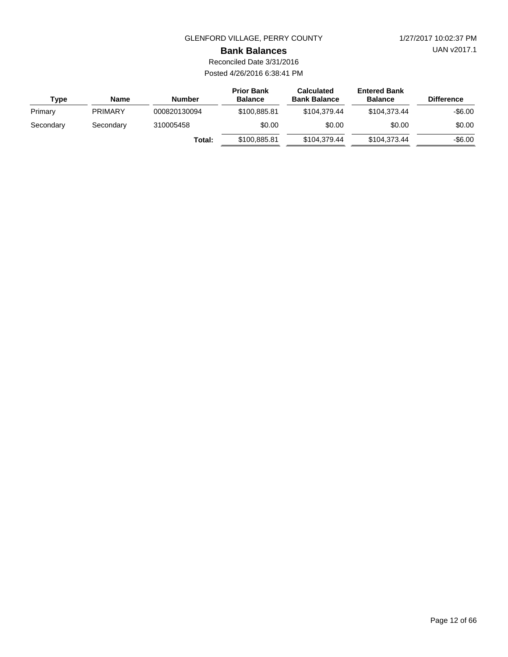UAN v2017.1

#### **Bank Balances**

Reconciled Date 3/31/2016 Posted 4/26/2016 6:38:41 PM

| Type      | <b>Name</b>    | <b>Number</b> | <b>Prior Bank</b><br><b>Balance</b> | <b>Calculated</b><br><b>Bank Balance</b> | <b>Entered Bank</b><br><b>Balance</b> | <b>Difference</b> |
|-----------|----------------|---------------|-------------------------------------|------------------------------------------|---------------------------------------|-------------------|
| Primary   | <b>PRIMARY</b> | 000820130094  | \$100.885.81                        | \$104.379.44                             | \$104.373.44                          | $-$6.00$          |
| Secondary | Secondary      | 310005458     | \$0.00                              | \$0.00                                   | \$0.00                                | \$0.00            |
|           |                | Total:        | \$100.885.81                        | \$104.379.44                             | \$104.373.44                          | $-$6.00$          |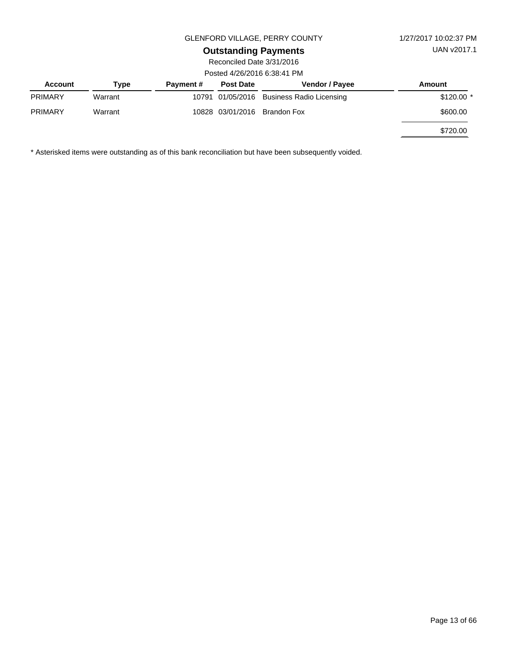## **Outstanding Payments**

Reconciled Date 3/31/2016 Posted 4/26/2016 6:38:41 PM

| <u>0366 + 20/2010 0.00. + 1 101</u> |         |                  |                  |                                           |             |  |  |  |
|-------------------------------------|---------|------------------|------------------|-------------------------------------------|-------------|--|--|--|
| <b>Account</b>                      | Tvpe    | <b>Payment #</b> | <b>Post Date</b> | <b>Vendor / Payee</b>                     | Amount      |  |  |  |
| <b>PRIMARY</b>                      | Warrant |                  |                  | 10791 01/05/2016 Business Radio Licensing | $$120.00$ * |  |  |  |
| <b>PRIMARY</b>                      | Warrant |                  | 10828 03/01/2016 | Brandon Fox                               | \$600.00    |  |  |  |
|                                     |         |                  |                  |                                           | \$720.00    |  |  |  |

\* Asterisked items were outstanding as of this bank reconciliation but have been subsequently voided.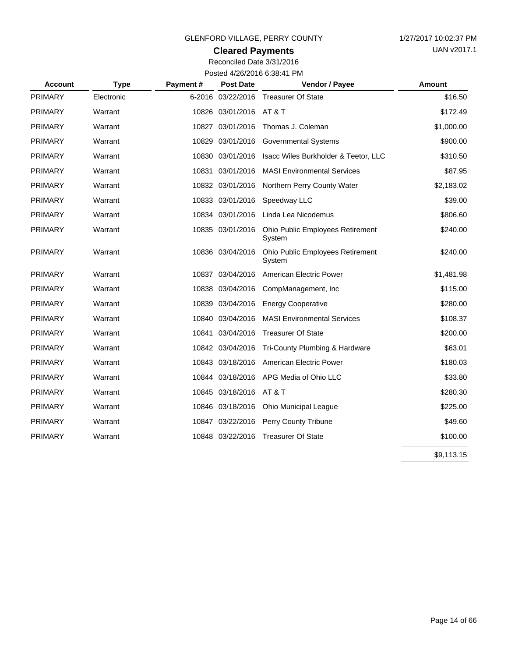## **Cleared Payments**

Reconciled Date 3/31/2016 Posted 4/26/2016 6:38:41 PM

| <b>Account</b> | <b>Type</b> | Payment# | <b>Post Date</b>  | Vendor / Payee                             | Amount     |
|----------------|-------------|----------|-------------------|--------------------------------------------|------------|
| <b>PRIMARY</b> | Electronic  |          | 6-2016 03/22/2016 | <b>Treasurer Of State</b>                  | \$16.50    |
| <b>PRIMARY</b> | Warrant     |          | 10826 03/01/2016  | AT&T                                       | \$172.49   |
| <b>PRIMARY</b> | Warrant     |          | 10827 03/01/2016  | Thomas J. Coleman                          | \$1,000.00 |
| <b>PRIMARY</b> | Warrant     |          | 10829 03/01/2016  | <b>Governmental Systems</b>                | \$900.00   |
| <b>PRIMARY</b> | Warrant     |          | 10830 03/01/2016  | Isacc Wiles Burkholder & Teetor, LLC       | \$310.50   |
| <b>PRIMARY</b> | Warrant     |          | 10831 03/01/2016  | <b>MASI Environmental Services</b>         | \$87.95    |
| <b>PRIMARY</b> | Warrant     |          | 10832 03/01/2016  | Northern Perry County Water                | \$2,183.02 |
| <b>PRIMARY</b> | Warrant     |          | 10833 03/01/2016  | Speedway LLC                               | \$39.00    |
| <b>PRIMARY</b> | Warrant     |          | 10834 03/01/2016  | Linda Lea Nicodemus                        | \$806.60   |
| <b>PRIMARY</b> | Warrant     |          | 10835 03/01/2016  | Ohio Public Employees Retirement<br>System | \$240.00   |
| <b>PRIMARY</b> | Warrant     |          | 10836 03/04/2016  | Ohio Public Employees Retirement<br>System | \$240.00   |
| <b>PRIMARY</b> | Warrant     |          | 10837 03/04/2016  | American Electric Power                    | \$1,481.98 |
| <b>PRIMARY</b> | Warrant     |          | 10838 03/04/2016  | CompManagement, Inc.                       | \$115.00   |
| <b>PRIMARY</b> | Warrant     |          | 10839 03/04/2016  | <b>Energy Cooperative</b>                  | \$280.00   |
| <b>PRIMARY</b> | Warrant     |          | 10840 03/04/2016  | <b>MASI Environmental Services</b>         | \$108.37   |
| <b>PRIMARY</b> | Warrant     | 10841    | 03/04/2016        | <b>Treasurer Of State</b>                  | \$200.00   |
| <b>PRIMARY</b> | Warrant     |          | 10842 03/04/2016  | Tri-County Plumbing & Hardware             | \$63.01    |
| <b>PRIMARY</b> | Warrant     |          | 10843 03/18/2016  | American Electric Power                    | \$180.03   |
| PRIMARY        | Warrant     |          | 10844 03/18/2016  | APG Media of Ohio LLC                      | \$33.80    |
| <b>PRIMARY</b> | Warrant     |          | 10845 03/18/2016  | AT & T                                     | \$280.30   |
| <b>PRIMARY</b> | Warrant     |          | 10846 03/18/2016  | <b>Ohio Municipal League</b>               | \$225.00   |
| <b>PRIMARY</b> | Warrant     |          | 10847 03/22/2016  | Perry County Tribune                       | \$49.60    |
| <b>PRIMARY</b> | Warrant     |          | 10848 03/22/2016  | <b>Treasurer Of State</b>                  | \$100.00   |
|                |             |          |                   |                                            | \$9,113.15 |

 $\overline{a}$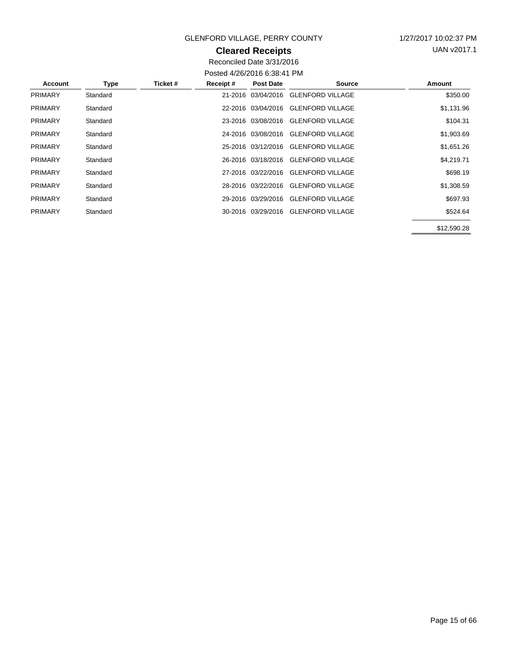## **Cleared Receipts**

UAN v2017.1

Reconciled Date 3/31/2016 Posted 4/26/2016 6:38:41 PM

| <b>Account</b> | Type     | Ticket # | Receipt# | <b>Post Date</b>   | <b>Source</b>                       | Amount      |
|----------------|----------|----------|----------|--------------------|-------------------------------------|-------------|
| <b>PRIMARY</b> | Standard |          |          |                    | 21-2016 03/04/2016 GLENFORD VILLAGE | \$350.00    |
| <b>PRIMARY</b> | Standard |          |          | 22-2016 03/04/2016 | <b>GLENFORD VILLAGE</b>             | \$1,131.96  |
| <b>PRIMARY</b> | Standard |          |          |                    | 23-2016 03/08/2016 GLENFORD VILLAGE | \$104.31    |
| <b>PRIMARY</b> | Standard |          |          | 24-2016 03/08/2016 | <b>GLENFORD VILLAGE</b>             | \$1,903.69  |
| <b>PRIMARY</b> | Standard |          |          |                    | 25-2016 03/12/2016 GLENFORD VILLAGE | \$1,651.26  |
| <b>PRIMARY</b> | Standard |          |          |                    | 26-2016 03/18/2016 GLENFORD VILLAGE | \$4,219.71  |
| <b>PRIMARY</b> | Standard |          |          |                    | 27-2016 03/22/2016 GLENFORD VILLAGE | \$698.19    |
| <b>PRIMARY</b> | Standard |          |          |                    | 28-2016 03/22/2016 GLENFORD VILLAGE | \$1,308.59  |
| <b>PRIMARY</b> | Standard |          |          |                    | 29-2016 03/29/2016 GLENFORD VILLAGE | \$697.93    |
| <b>PRIMARY</b> | Standard |          |          |                    | 30-2016 03/29/2016 GLENFORD VILLAGE | \$524.64    |
|                |          |          |          |                    |                                     | \$12,590.28 |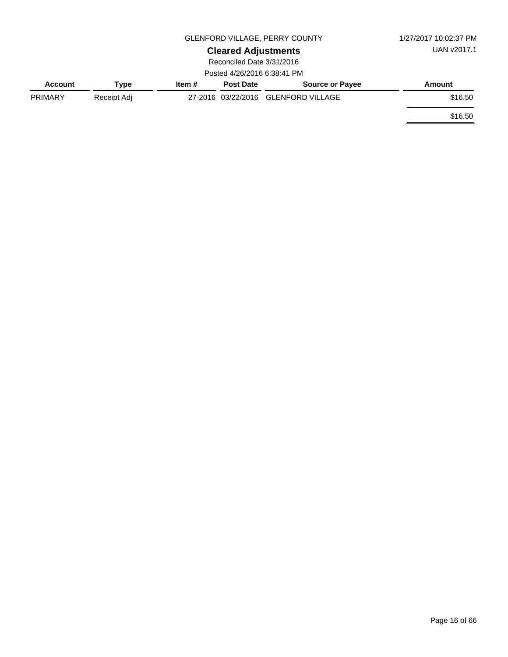|                |             | GLENFORD VILLAGE, PERRY COUNTY | 1/27/2017 10:02:37 PM       |                                     |         |
|----------------|-------------|--------------------------------|-----------------------------|-------------------------------------|---------|
|                |             | <b>Cleared Adjustments</b>     | UAN v2017.1                 |                                     |         |
|                |             |                                | Reconciled Date 3/31/2016   |                                     |         |
|                |             |                                | Posted 4/26/2016 6:38:41 PM |                                     |         |
| <b>Account</b> | Type        | Item #                         | <b>Post Date</b>            | <b>Source or Payee</b>              | Amount  |
| <b>PRIMARY</b> | Receipt Adj |                                |                             | 27-2016 03/22/2016 GLENFORD VILLAGE | \$16.50 |
|                |             |                                |                             |                                     | \$16.50 |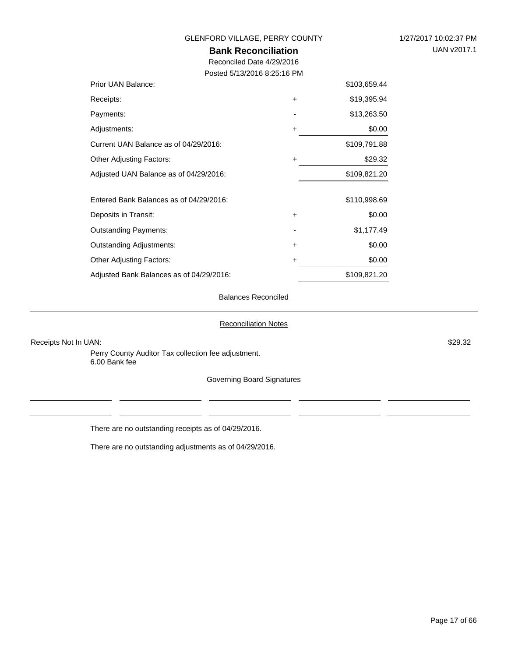**Bank Reconciliation**

Reconciled Date 4/29/2016

Posted 5/13/2016 8:25:16 PM

| Prior UAN Balance:                       |           | \$103,659.44 |
|------------------------------------------|-----------|--------------|
| Receipts:                                | $\ddot{}$ | \$19,395.94  |
| Payments:                                |           | \$13,263.50  |
| Adjustments:                             | +         | \$0.00       |
| Current UAN Balance as of 04/29/2016:    |           | \$109,791.88 |
| <b>Other Adjusting Factors:</b>          | +         | \$29.32      |
| Adjusted UAN Balance as of 04/29/2016:   |           | \$109,821.20 |
|                                          |           |              |
| Entered Bank Balances as of 04/29/2016:  |           | \$110,998.69 |
| Deposits in Transit:                     | $\ddot{}$ | \$0.00       |
| <b>Outstanding Payments:</b>             |           | \$1,177.49   |
| <b>Outstanding Adjustments:</b>          | $\ddot{}$ | \$0.00       |
| <b>Other Adjusting Factors:</b>          | +         | \$0.00       |
| Adjusted Bank Balances as of 04/29/2016: |           | \$109,821.20 |

Balances Reconciled

#### Reconciliation Notes

Receipts Not In UAN: \$29.32

Perry County Auditor Tax collection fee adjustment. 6.00 Bank fee

Governing Board Signatures

There are no outstanding receipts as of 04/29/2016.

There are no outstanding adjustments as of 04/29/2016.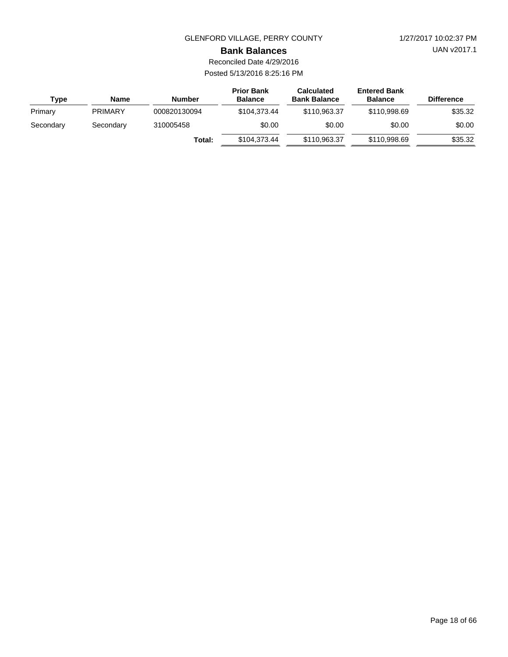UAN v2017.1

#### **Bank Balances**

Reconciled Date 4/29/2016 Posted 5/13/2016 8:25:16 PM

| Type      | Name           | <b>Number</b> | <b>Prior Bank</b><br><b>Balance</b> | <b>Calculated</b><br><b>Bank Balance</b> | <b>Entered Bank</b><br><b>Balance</b> | <b>Difference</b> |
|-----------|----------------|---------------|-------------------------------------|------------------------------------------|---------------------------------------|-------------------|
| Primary   | <b>PRIMARY</b> | 000820130094  | \$104,373,44                        | \$110,963,37                             | \$110,998.69                          | \$35.32           |
| Secondary | Secondary      | 310005458     | \$0.00                              | \$0.00                                   | \$0.00                                | \$0.00            |
|           |                | Total:        | \$104,373,44                        | \$110,963.37                             | \$110,998.69                          | \$35.32           |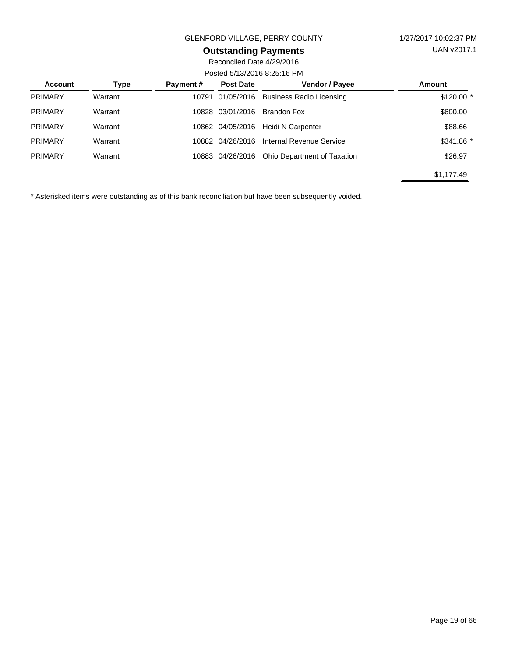## **Outstanding Payments**

Reconciled Date 4/29/2016 Posted 5/13/2016 8:25:16 PM

| <b>Account</b> | Type    | Payment# | <b>Post Date</b> | Vendor / Payee                  | Amount      |  |  |
|----------------|---------|----------|------------------|---------------------------------|-------------|--|--|
| <b>PRIMARY</b> | Warrant | 10791    | 01/05/2016       | <b>Business Radio Licensing</b> | $$120.00$ * |  |  |
| <b>PRIMARY</b> | Warrant | 10828    | 03/01/2016       | Brandon Fox                     | \$600.00    |  |  |
| <b>PRIMARY</b> | Warrant |          | 10862 04/05/2016 | Heidi N Carpenter               | \$88.66     |  |  |
| <b>PRIMARY</b> | Warrant | 10882    | 04/26/2016       | Internal Revenue Service        | \$341.86 *  |  |  |
| <b>PRIMARY</b> | Warrant |          | 10883 04/26/2016 | Ohio Department of Taxation     | \$26.97     |  |  |
|                |         |          |                  |                                 | \$1,177.49  |  |  |

\* Asterisked items were outstanding as of this bank reconciliation but have been subsequently voided.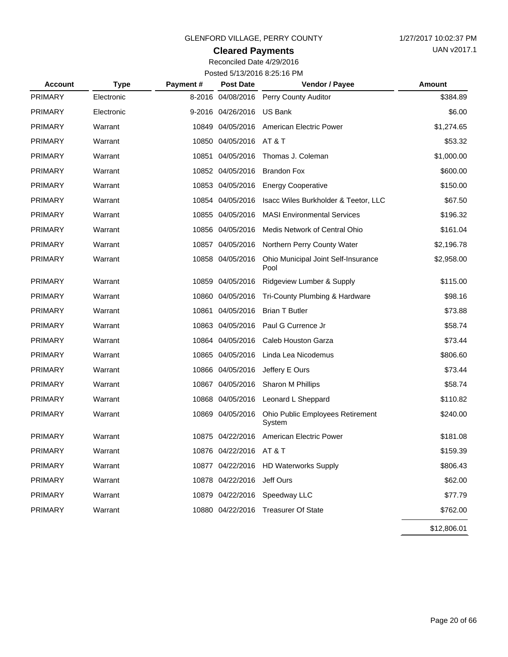## **Cleared Payments**

Reconciled Date 4/29/2016 Posted 5/13/2016 8:25:16 PM

| <b>Account</b> | <b>Type</b> | Payment# | <b>Post Date</b>      | Vendor / Payee                              | Amount      |
|----------------|-------------|----------|-----------------------|---------------------------------------------|-------------|
| <b>PRIMARY</b> | Electronic  |          | 8-2016 04/08/2016     | Perry County Auditor                        | \$384.89    |
| <b>PRIMARY</b> | Electronic  |          | 9-2016 04/26/2016     | <b>US Bank</b>                              | \$6.00      |
| <b>PRIMARY</b> | Warrant     |          | 10849 04/05/2016      | <b>American Electric Power</b>              | \$1,274.65  |
| <b>PRIMARY</b> | Warrant     |          | 10850 04/05/2016      | AT & T                                      | \$53.32     |
| <b>PRIMARY</b> | Warrant     |          | 10851 04/05/2016      | Thomas J. Coleman                           | \$1,000.00  |
| <b>PRIMARY</b> | Warrant     |          | 10852 04/05/2016      | <b>Brandon Fox</b>                          | \$600.00    |
| <b>PRIMARY</b> | Warrant     |          | 10853 04/05/2016      | <b>Energy Cooperative</b>                   | \$150.00    |
| <b>PRIMARY</b> | Warrant     |          | 10854 04/05/2016      | Isacc Wiles Burkholder & Teetor, LLC        | \$67.50     |
| <b>PRIMARY</b> | Warrant     |          | 10855 04/05/2016      | <b>MASI Environmental Services</b>          | \$196.32    |
| <b>PRIMARY</b> | Warrant     |          | 10856 04/05/2016      | Medis Network of Central Ohio               | \$161.04    |
| <b>PRIMARY</b> | Warrant     |          | 10857 04/05/2016      | Northern Perry County Water                 | \$2,196.78  |
| <b>PRIMARY</b> | Warrant     |          | 10858 04/05/2016      | Ohio Municipal Joint Self-Insurance<br>Pool | \$2,958.00  |
| <b>PRIMARY</b> | Warrant     |          | 10859 04/05/2016      | Ridgeview Lumber & Supply                   | \$115.00    |
| <b>PRIMARY</b> | Warrant     |          | 10860 04/05/2016      | Tri-County Plumbing & Hardware              | \$98.16     |
| <b>PRIMARY</b> | Warrant     |          | 10861 04/05/2016      | <b>Brian T Butler</b>                       | \$73.88     |
| <b>PRIMARY</b> | Warrant     |          | 10863 04/05/2016      | Paul G Currence Jr                          | \$58.74     |
| <b>PRIMARY</b> | Warrant     |          | 10864 04/05/2016      | <b>Caleb Houston Garza</b>                  | \$73.44     |
| <b>PRIMARY</b> | Warrant     |          | 10865 04/05/2016      | Linda Lea Nicodemus                         | \$806.60    |
| <b>PRIMARY</b> | Warrant     |          | 10866 04/05/2016      | Jeffery E Ours                              | \$73.44     |
| <b>PRIMARY</b> | Warrant     |          | 10867 04/05/2016      | Sharon M Phillips                           | \$58.74     |
| <b>PRIMARY</b> | Warrant     |          | 10868 04/05/2016      | Leonard L Sheppard                          | \$110.82    |
| <b>PRIMARY</b> | Warrant     |          | 10869 04/05/2016      | Ohio Public Employees Retirement<br>System  | \$240.00    |
| <b>PRIMARY</b> | Warrant     |          | 10875 04/22/2016      | American Electric Power                     | \$181.08    |
| PRIMARY        | Warrant     |          | 10876 04/22/2016 AT&T |                                             | \$159.39    |
| <b>PRIMARY</b> | Warrant     |          | 10877 04/22/2016      | <b>HD Waterworks Supply</b>                 | \$806.43    |
| <b>PRIMARY</b> | Warrant     |          | 10878 04/22/2016      | Jeff Ours                                   | \$62.00     |
| <b>PRIMARY</b> | Warrant     |          | 10879 04/22/2016      | Speedway LLC                                | \$77.79     |
| <b>PRIMARY</b> | Warrant     |          | 10880 04/22/2016      | <b>Treasurer Of State</b>                   | \$762.00    |
|                |             |          |                       |                                             | \$12,806.01 |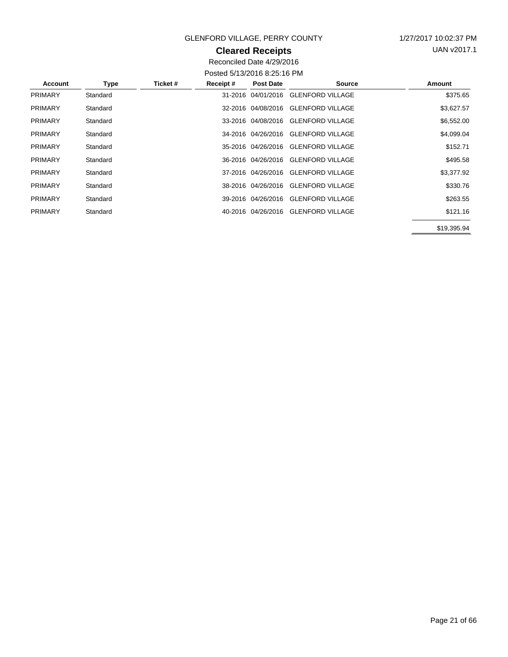### **Cleared Receipts**

UAN v2017.1

Reconciled Date 4/29/2016 Posted 5/13/2016 8:25:16 PM

|                |          |          |          | <u>00000 07 107 2010 0.20.10 1 171</u> |                                     |             |
|----------------|----------|----------|----------|----------------------------------------|-------------------------------------|-------------|
| <b>Account</b> | Type     | Ticket # | Receipt# | <b>Post Date</b>                       | <b>Source</b>                       | Amount      |
| <b>PRIMARY</b> | Standard |          |          |                                        | 31-2016 04/01/2016 GLENFORD VILLAGE | \$375.65    |
| <b>PRIMARY</b> | Standard |          |          |                                        | 32-2016 04/08/2016 GLENFORD VILLAGE | \$3,627.57  |
| <b>PRIMARY</b> | Standard |          |          |                                        | 33-2016 04/08/2016 GLENFORD VILLAGE | \$6,552.00  |
| <b>PRIMARY</b> | Standard |          |          |                                        | 34-2016 04/26/2016 GLENFORD VILLAGE | \$4,099.04  |
| <b>PRIMARY</b> | Standard |          |          |                                        | 35-2016 04/26/2016 GLENFORD VILLAGE | \$152.71    |
| <b>PRIMARY</b> | Standard |          |          | 36-2016 04/26/2016                     | <b>GLENFORD VILLAGE</b>             | \$495.58    |
| <b>PRIMARY</b> | Standard |          |          |                                        | 37-2016 04/26/2016 GLENFORD VILLAGE | \$3,377.92  |
| <b>PRIMARY</b> | Standard |          |          |                                        | 38-2016 04/26/2016 GLENFORD VILLAGE | \$330.76    |
| <b>PRIMARY</b> | Standard |          |          |                                        | 39-2016 04/26/2016 GLENFORD VILLAGE | \$263.55    |
| <b>PRIMARY</b> | Standard |          |          |                                        | 40-2016 04/26/2016 GLENFORD VILLAGE | \$121.16    |
|                |          |          |          |                                        |                                     | \$19,395.94 |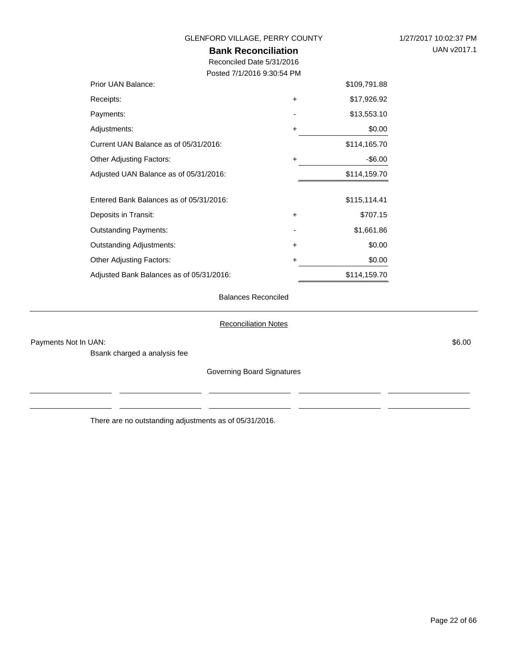| GLENFORD VILLAGE, PERRY COUNTY           |             |              | 1/27/2017 10:02:37 PM |
|------------------------------------------|-------------|--------------|-----------------------|
| <b>Bank Reconciliation</b>               | UAN v2017.1 |              |                       |
| Reconciled Date 5/31/2016                |             |              |                       |
| Posted 7/1/2016 9:30:54 PM               |             |              |                       |
| Prior UAN Balance:                       |             | \$109,791.88 |                       |
| Receipts:                                | $\ddot{}$   | \$17,926.92  |                       |
| Payments:                                |             | \$13,553.10  |                       |
| Adjustments:                             | +           | \$0.00       |                       |
| Current UAN Balance as of 05/31/2016:    |             | \$114,165.70 |                       |
| Other Adjusting Factors:                 | +           | $-$ \$6.00   |                       |
| Adjusted UAN Balance as of 05/31/2016:   |             | \$114,159.70 |                       |
| Entered Bank Balances as of 05/31/2016:  |             | \$115,114.41 |                       |
| Deposits in Transit:                     | +           | \$707.15     |                       |
| <b>Outstanding Payments:</b>             |             | \$1,661.86   |                       |
| <b>Outstanding Adjustments:</b>          | $\ddot{}$   | \$0.00       |                       |
| <b>Other Adjusting Factors:</b>          | $\ddot{}$   | \$0.00       |                       |
| Adjusted Bank Balances as of 05/31/2016: |             | \$114,159.70 |                       |
|                                          |             |              |                       |

### Balances Reconciled

#### Reconciliation Notes

Payments Not In UAN: \$6.00

Bsank charged a analysis fee

Governing Board Signatures

There are no outstanding adjustments as of 05/31/2016.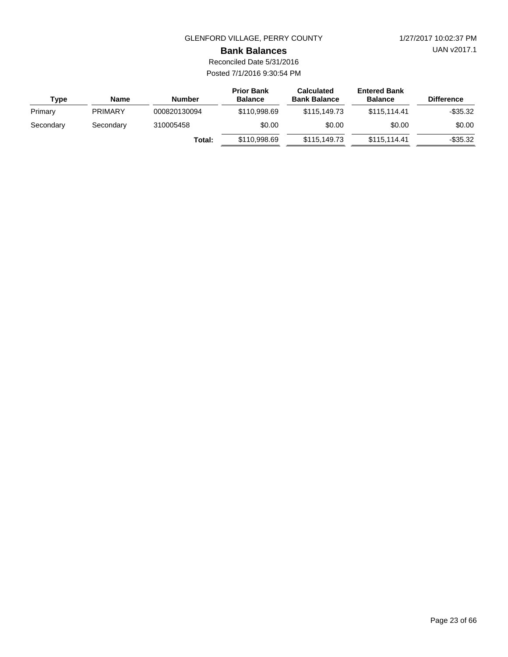UAN v2017.1

#### **Bank Balances**

| Type      | <b>Name</b>    | <b>Number</b> | <b>Prior Bank</b><br><b>Balance</b> | <b>Calculated</b><br><b>Bank Balance</b> | <b>Entered Bank</b><br><b>Balance</b> | <b>Difference</b> |
|-----------|----------------|---------------|-------------------------------------|------------------------------------------|---------------------------------------|-------------------|
| Primary   | <b>PRIMARY</b> | 000820130094  | \$110,998.69                        | \$115,149.73                             | \$115.114.41                          | $-$ \$35.32       |
| Secondary | Secondary      | 310005458     | \$0.00                              | \$0.00                                   | \$0.00                                | \$0.00            |
|           |                | Total:        | \$110,998.69                        | \$115,149.73                             | \$115.114.41                          | $-$ \$35.32       |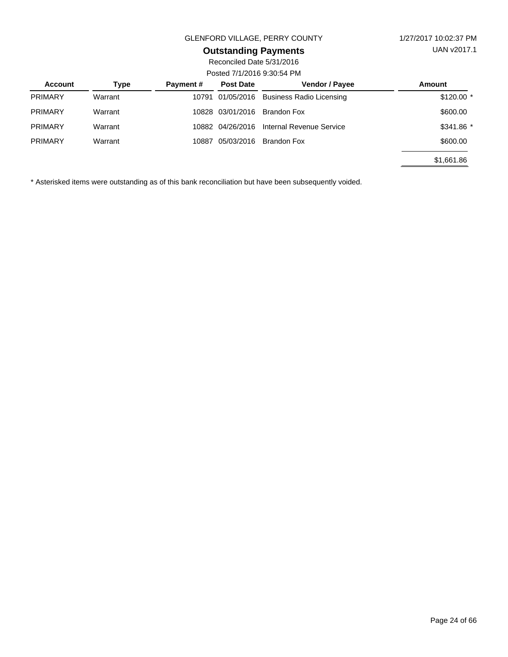## **Outstanding Payments**

Reconciled Date 5/31/2016 Posted 7/1/2016 9:30:54 PM

| Account        | Type    | <b>Payment #</b> | <b>Post Date</b> | <b>Vendor / Payee</b>           | Amount      |
|----------------|---------|------------------|------------------|---------------------------------|-------------|
| <b>PRIMARY</b> | Warrant |                  | 10791 01/05/2016 | <b>Business Radio Licensing</b> | $$120.00$ * |
| <b>PRIMARY</b> | Warrant |                  | 10828 03/01/2016 | Brandon Fox                     | \$600.00    |
| <b>PRIMARY</b> | Warrant |                  | 10882 04/26/2016 | Internal Revenue Service        | \$341.86 *  |
| <b>PRIMARY</b> | Warrant | 10887            | 05/03/2016       | Brandon Fox                     | \$600.00    |
|                |         |                  |                  |                                 | \$1,661.86  |

\* Asterisked items were outstanding as of this bank reconciliation but have been subsequently voided.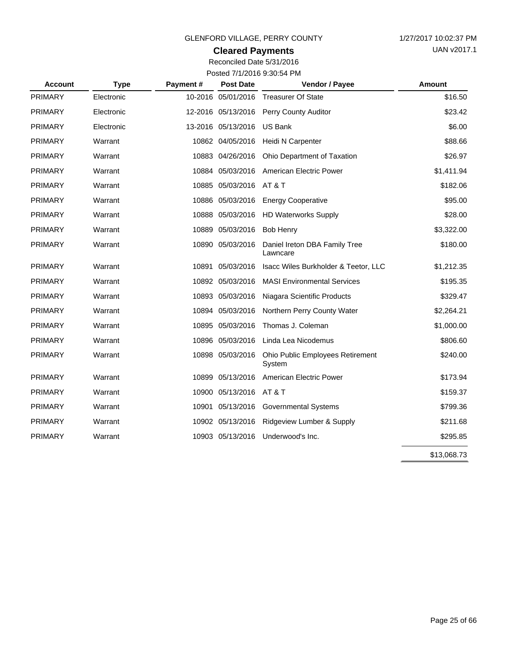## **Cleared Payments**

| <b>Account</b> | <b>Type</b> | Payment# | <b>Post Date</b>   | Vendor / Payee                             | Amount      |
|----------------|-------------|----------|--------------------|--------------------------------------------|-------------|
| <b>PRIMARY</b> | Electronic  |          | 10-2016 05/01/2016 | <b>Treasurer Of State</b>                  | \$16.50     |
| <b>PRIMARY</b> | Electronic  |          | 12-2016 05/13/2016 | Perry County Auditor                       | \$23.42     |
| <b>PRIMARY</b> | Electronic  |          | 13-2016 05/13/2016 | <b>US Bank</b>                             | \$6.00      |
| <b>PRIMARY</b> | Warrant     |          | 10862 04/05/2016   | Heidi N Carpenter                          | \$88.66     |
| <b>PRIMARY</b> | Warrant     |          | 10883 04/26/2016   | Ohio Department of Taxation                | \$26.97     |
| <b>PRIMARY</b> | Warrant     |          | 10884 05/03/2016   | American Electric Power                    | \$1,411.94  |
| <b>PRIMARY</b> | Warrant     |          | 10885 05/03/2016   | AT&T                                       | \$182.06    |
| <b>PRIMARY</b> | Warrant     |          | 10886 05/03/2016   | <b>Energy Cooperative</b>                  | \$95.00     |
| <b>PRIMARY</b> | Warrant     |          | 10888 05/03/2016   | <b>HD Waterworks Supply</b>                | \$28.00     |
| <b>PRIMARY</b> | Warrant     |          | 10889 05/03/2016   | <b>Bob Henry</b>                           | \$3,322.00  |
| <b>PRIMARY</b> | Warrant     |          | 10890 05/03/2016   | Daniel Ireton DBA Family Tree<br>Lawncare  | \$180.00    |
| <b>PRIMARY</b> | Warrant     |          | 10891 05/03/2016   | Isacc Wiles Burkholder & Teetor, LLC       | \$1,212.35  |
| <b>PRIMARY</b> | Warrant     |          | 10892 05/03/2016   | <b>MASI Environmental Services</b>         | \$195.35    |
| <b>PRIMARY</b> | Warrant     |          | 10893 05/03/2016   | Niagara Scientific Products                | \$329.47    |
| <b>PRIMARY</b> | Warrant     |          | 10894 05/03/2016   | Northern Perry County Water                | \$2,264.21  |
| <b>PRIMARY</b> | Warrant     |          | 10895 05/03/2016   | Thomas J. Coleman                          | \$1,000.00  |
| <b>PRIMARY</b> | Warrant     |          | 10896 05/03/2016   | Linda Lea Nicodemus                        | \$806.60    |
| <b>PRIMARY</b> | Warrant     |          | 10898 05/03/2016   | Ohio Public Employees Retirement<br>System | \$240.00    |
| <b>PRIMARY</b> | Warrant     |          | 10899 05/13/2016   | <b>American Electric Power</b>             | \$173.94    |
| <b>PRIMARY</b> | Warrant     |          | 10900 05/13/2016   | AT&T                                       | \$159.37    |
| <b>PRIMARY</b> | Warrant     |          | 10901 05/13/2016   | <b>Governmental Systems</b>                | \$799.36    |
| <b>PRIMARY</b> | Warrant     |          | 10902 05/13/2016   | Ridgeview Lumber & Supply                  | \$211.68    |
| <b>PRIMARY</b> | Warrant     |          | 10903 05/13/2016   | Underwood's Inc.                           | \$295.85    |
|                |             |          |                    |                                            | \$13,068.73 |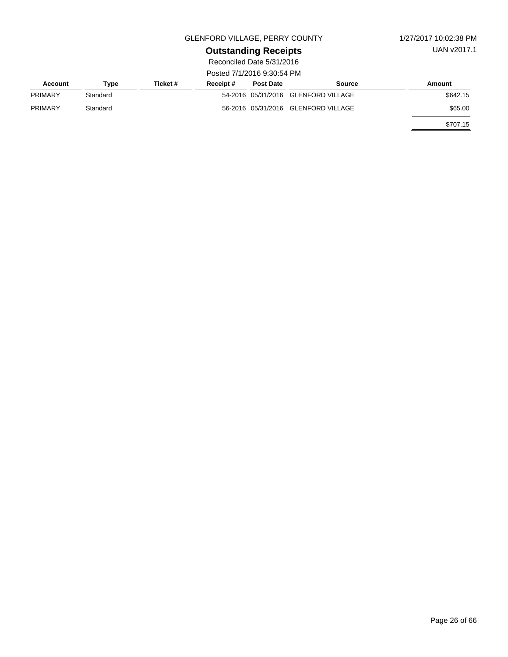UAN v2017.1

# **Outstanding Receipts**

| Account        | Type     | Ticket # | Receipt# | <b>Post Date</b> | Source                              | Amount   |  |
|----------------|----------|----------|----------|------------------|-------------------------------------|----------|--|
| <b>PRIMARY</b> | Standard |          |          |                  | 54-2016 05/31/2016 GLENFORD VILLAGE | \$642.15 |  |
| <b>PRIMARY</b> | Standard |          |          |                  | 56-2016 05/31/2016 GLENFORD VILLAGE | \$65.00  |  |
|                |          |          |          |                  |                                     | \$707.15 |  |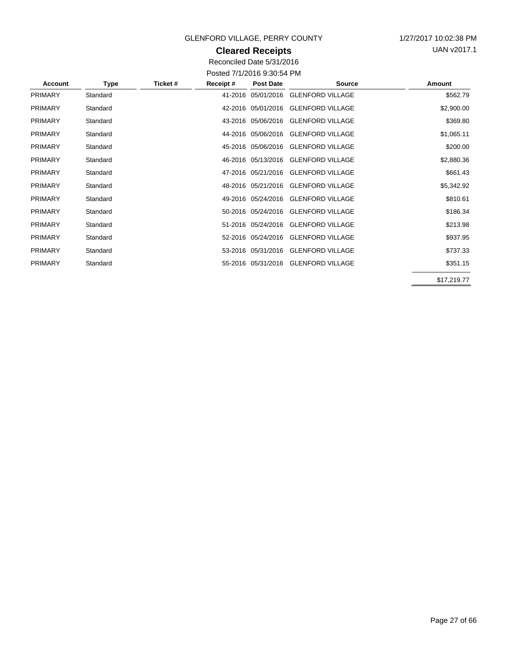### **Cleared Receipts**

UAN v2017.1

| <b>Account</b> | Type     | Ticket # | Receipt# | <b>Post Date</b>   | <b>Source</b>                       | Amount      |
|----------------|----------|----------|----------|--------------------|-------------------------------------|-------------|
| <b>PRIMARY</b> | Standard |          |          |                    | 41-2016 05/01/2016 GLENFORD VILLAGE | \$562.79    |
| <b>PRIMARY</b> | Standard |          |          | 42-2016 05/01/2016 | <b>GLENFORD VILLAGE</b>             | \$2,900.00  |
| <b>PRIMARY</b> | Standard |          |          | 43-2016 05/06/2016 | <b>GLENFORD VILLAGE</b>             | \$369.80    |
| <b>PRIMARY</b> | Standard |          |          |                    | 44-2016 05/06/2016 GLENFORD VILLAGE | \$1,065.11  |
| PRIMARY        | Standard |          |          |                    | 45-2016 05/06/2016 GLENFORD VILLAGE | \$200.00    |
| <b>PRIMARY</b> | Standard |          |          | 46-2016 05/13/2016 | <b>GLENFORD VILLAGE</b>             | \$2,880.36  |
| <b>PRIMARY</b> | Standard |          |          | 47-2016 05/21/2016 | <b>GLENFORD VILLAGE</b>             | \$661.43    |
| <b>PRIMARY</b> | Standard |          |          |                    | 48-2016 05/21/2016 GLENFORD VILLAGE | \$5,342.92  |
| <b>PRIMARY</b> | Standard |          |          | 49-2016 05/24/2016 | <b>GLENFORD VILLAGE</b>             | \$810.61    |
| <b>PRIMARY</b> | Standard |          |          | 50-2016 05/24/2016 | <b>GLENFORD VILLAGE</b>             | \$186.34    |
| <b>PRIMARY</b> | Standard |          |          |                    | 51-2016 05/24/2016 GLENFORD VILLAGE | \$213.98    |
| <b>PRIMARY</b> | Standard |          |          |                    | 52-2016 05/24/2016 GLENFORD VILLAGE | \$937.95    |
| <b>PRIMARY</b> | Standard |          |          | 53-2016 05/31/2016 | <b>GLENFORD VILLAGE</b>             | \$737.33    |
| <b>PRIMARY</b> | Standard |          |          |                    | 55-2016 05/31/2016 GLENFORD VILLAGE | \$351.15    |
|                |          |          |          |                    |                                     | \$17,219.77 |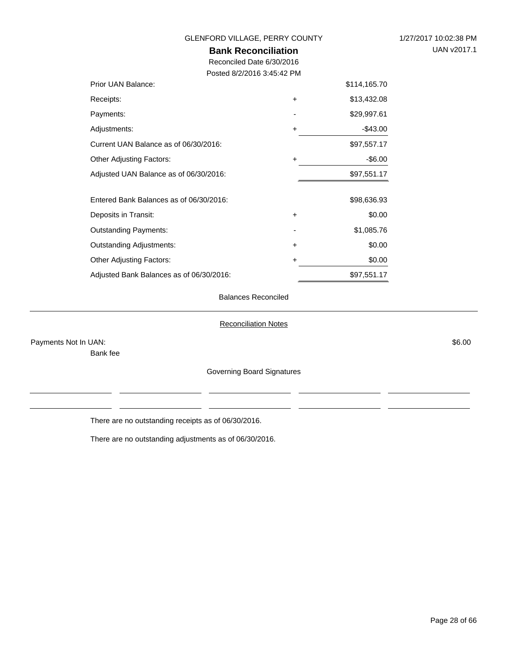| GLENFORD VILLAGE, PERRY COUNTY           |           |              | 1/27/2017 10:02:38 PM |
|------------------------------------------|-----------|--------------|-----------------------|
| <b>Bank Reconciliation</b>               |           |              | UAN v2017.1           |
| Reconciled Date 6/30/2016                |           |              |                       |
| Posted 8/2/2016 3:45:42 PM               |           |              |                       |
| Prior UAN Balance:                       |           | \$114,165.70 |                       |
| Receipts:                                | $\ddot{}$ | \$13,432.08  |                       |
| Payments:                                |           | \$29,997.61  |                       |
| Adjustments:                             | $\ddot{}$ | $-$43.00$    |                       |
| Current UAN Balance as of 06/30/2016:    |           | \$97,557.17  |                       |
| <b>Other Adjusting Factors:</b>          | $\ddot{}$ | $-$ \$6.00   |                       |
| Adjusted UAN Balance as of 06/30/2016:   |           | \$97,551.17  |                       |
| Entered Bank Balances as of 06/30/2016:  |           | \$98,636.93  |                       |
| Deposits in Transit:                     | $\ddot{}$ | \$0.00       |                       |
| <b>Outstanding Payments:</b>             |           | \$1,085.76   |                       |
| <b>Outstanding Adjustments:</b>          | $\ddot{}$ | \$0.00       |                       |
| <b>Other Adjusting Factors:</b>          | +         | \$0.00       |                       |
| Adjusted Bank Balances as of 06/30/2016: |           | \$97,551.17  |                       |

#### Balances Reconciled

#### Reconciliation Notes

Payments Not In UAN: \$6.00

Bank fee

Governing Board Signatures

There are no outstanding receipts as of 06/30/2016.

There are no outstanding adjustments as of 06/30/2016.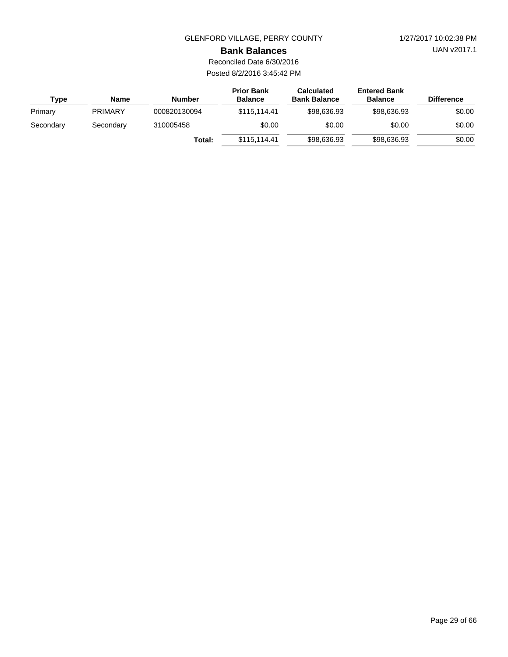UAN v2017.1

#### **Bank Balances**

Reconciled Date 6/30/2016 Posted 8/2/2016 3:45:42 PM

| Type      | <b>Name</b>    | <b>Number</b> | <b>Prior Bank</b><br><b>Balance</b> | <b>Calculated</b><br><b>Bank Balance</b> | <b>Entered Bank</b><br><b>Balance</b> | <b>Difference</b> |
|-----------|----------------|---------------|-------------------------------------|------------------------------------------|---------------------------------------|-------------------|
| Primary   | <b>PRIMARY</b> | 000820130094  | \$115.114.41                        | \$98,636,93                              | \$98,636,93                           | \$0.00            |
| Secondary | Secondary      | 310005458     | \$0.00                              | \$0.00                                   | \$0.00                                | \$0.00            |
|           |                | Total:        | \$115.114.41                        | \$98,636.93                              | \$98,636.93                           | \$0.00            |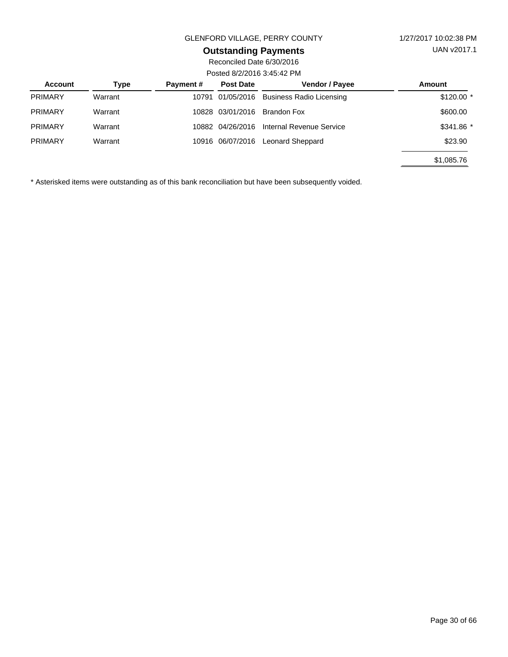## **Outstanding Payments**

Reconciled Date 6/30/2016 Posted 8/2/2016 3:45:42 PM

| Account        | Type    | <b>Payment#</b> | <b>Post Date</b> | <b>Vendor / Payee</b>           | Amount      |  |
|----------------|---------|-----------------|------------------|---------------------------------|-------------|--|
| <b>PRIMARY</b> | Warrant |                 | 10791 01/05/2016 | <b>Business Radio Licensing</b> | $$120.00$ * |  |
| <b>PRIMARY</b> | Warrant |                 | 10828 03/01/2016 | Brandon Fox                     | \$600.00    |  |
| <b>PRIMARY</b> | Warrant |                 | 10882 04/26/2016 | Internal Revenue Service        | $$341.86$ * |  |
| <b>PRIMARY</b> | Warrant |                 | 10916 06/07/2016 | Leonard Sheppard                | \$23.90     |  |
|                |         |                 |                  |                                 | \$1,085.76  |  |

\* Asterisked items were outstanding as of this bank reconciliation but have been subsequently voided.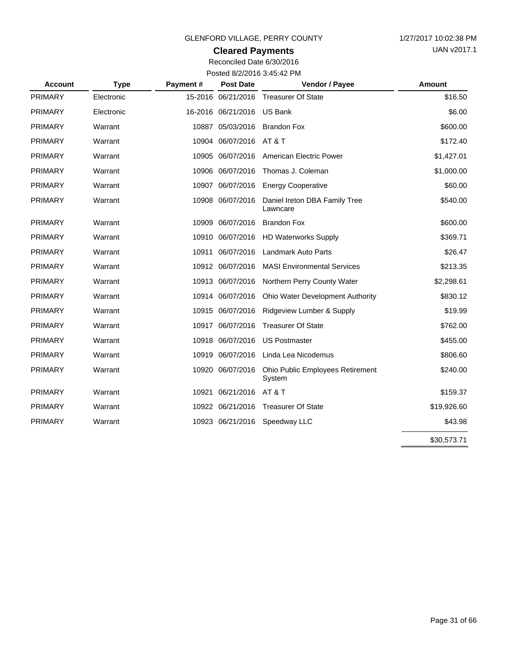## **Cleared Payments**

Reconciled Date 6/30/2016 Posted 8/2/2016 3:45:42 PM

| <b>Account</b> | <b>Type</b> | Payment# | <b>Post Date</b>           | Vendor / Payee                             | <b>Amount</b> |
|----------------|-------------|----------|----------------------------|--------------------------------------------|---------------|
| <b>PRIMARY</b> | Electronic  |          |                            | 15-2016 06/21/2016 Treasurer Of State      | \$16.50       |
| <b>PRIMARY</b> | Electronic  |          | 16-2016 06/21/2016 US Bank |                                            | \$6.00        |
| <b>PRIMARY</b> | Warrant     |          | 10887 05/03/2016           | <b>Brandon Fox</b>                         | \$600.00      |
| <b>PRIMARY</b> | Warrant     |          | 10904 06/07/2016 AT & T    |                                            | \$172.40      |
| <b>PRIMARY</b> | Warrant     |          | 10905 06/07/2016           | American Electric Power                    | \$1,427.01    |
| <b>PRIMARY</b> | Warrant     |          | 10906 06/07/2016           | Thomas J. Coleman                          | \$1,000.00    |
| <b>PRIMARY</b> | Warrant     |          | 10907 06/07/2016           | <b>Energy Cooperative</b>                  | \$60.00       |
| <b>PRIMARY</b> | Warrant     |          | 10908 06/07/2016           | Daniel Ireton DBA Family Tree<br>Lawncare  | \$540.00      |
| <b>PRIMARY</b> | Warrant     |          | 10909 06/07/2016           | <b>Brandon Fox</b>                         | \$600.00      |
| <b>PRIMARY</b> | Warrant     |          | 10910 06/07/2016           | <b>HD Waterworks Supply</b>                | \$369.71      |
| <b>PRIMARY</b> | Warrant     |          | 10911 06/07/2016           | <b>Landmark Auto Parts</b>                 | \$26.47       |
| <b>PRIMARY</b> | Warrant     |          | 10912 06/07/2016           | <b>MASI Environmental Services</b>         | \$213.35      |
| <b>PRIMARY</b> | Warrant     |          | 10913 06/07/2016           | Northern Perry County Water                | \$2,298.61    |
| <b>PRIMARY</b> | Warrant     |          | 10914 06/07/2016           | <b>Ohio Water Development Authority</b>    | \$830.12      |
| <b>PRIMARY</b> | Warrant     |          | 10915 06/07/2016           | Ridgeview Lumber & Supply                  | \$19.99       |
| <b>PRIMARY</b> | Warrant     |          | 10917 06/07/2016           | <b>Treasurer Of State</b>                  | \$762.00      |
| <b>PRIMARY</b> | Warrant     |          | 10918 06/07/2016           | <b>US Postmaster</b>                       | \$455.00      |
| <b>PRIMARY</b> | Warrant     |          | 10919 06/07/2016           | Linda Lea Nicodemus                        | \$806.60      |
| <b>PRIMARY</b> | Warrant     |          | 10920 06/07/2016           | Ohio Public Employees Retirement<br>System | \$240.00      |
| <b>PRIMARY</b> | Warrant     |          | 10921 06/21/2016           | <b>AT &amp; T</b>                          | \$159.37      |
| <b>PRIMARY</b> | Warrant     |          | 10922 06/21/2016           | <b>Treasurer Of State</b>                  | \$19,926.60   |
| <b>PRIMARY</b> | Warrant     |          | 10923 06/21/2016           | Speedway LLC                               | \$43.98       |
|                |             |          |                            |                                            | \$30,573.71   |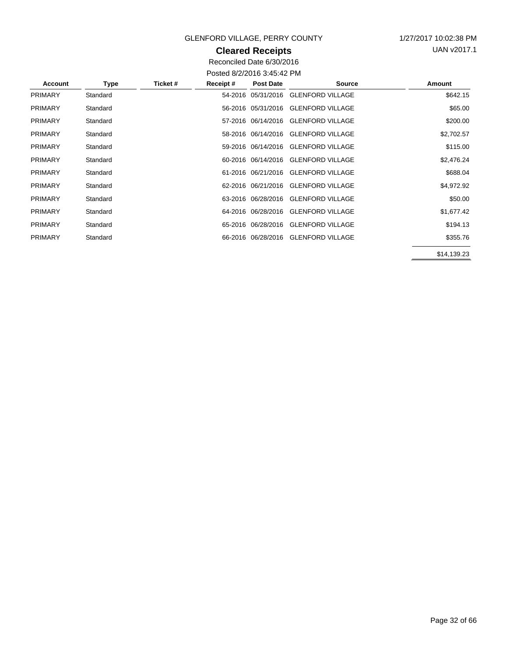## **Cleared Receipts**

UAN v2017.1

Reconciled Date 6/30/2016 Posted 8/2/2016 3:45:42 PM

| <b>Account</b> | Type     | Ticket # | Receipt# | Post Date | <b>Source</b>                       | Amount      |
|----------------|----------|----------|----------|-----------|-------------------------------------|-------------|
| <b>PRIMARY</b> | Standard |          |          |           | 54-2016 05/31/2016 GLENFORD VILLAGE | \$642.15    |
| <b>PRIMARY</b> | Standard |          |          |           | 56-2016 05/31/2016 GLENFORD VILLAGE | \$65.00     |
| <b>PRIMARY</b> | Standard |          |          |           | 57-2016 06/14/2016 GLENFORD VILLAGE | \$200.00    |
| <b>PRIMARY</b> | Standard |          |          |           | 58-2016 06/14/2016 GLENFORD VILLAGE | \$2,702.57  |
| <b>PRIMARY</b> | Standard |          |          |           | 59-2016 06/14/2016 GLENFORD VILLAGE | \$115.00    |
| <b>PRIMARY</b> | Standard |          |          |           | 60-2016 06/14/2016 GLENFORD VILLAGE | \$2,476.24  |
| <b>PRIMARY</b> | Standard |          |          |           | 61-2016 06/21/2016 GLENFORD VILLAGE | \$688.04    |
| <b>PRIMARY</b> | Standard |          |          |           | 62-2016 06/21/2016 GLENFORD VILLAGE | \$4,972.92  |
| <b>PRIMARY</b> | Standard |          |          |           | 63-2016 06/28/2016 GLENFORD VILLAGE | \$50.00     |
| <b>PRIMARY</b> | Standard |          |          |           | 64-2016 06/28/2016 GLENFORD VILLAGE | \$1,677.42  |
| <b>PRIMARY</b> | Standard |          |          |           | 65-2016 06/28/2016 GLENFORD VILLAGE | \$194.13    |
| <b>PRIMARY</b> | Standard |          |          |           | 66-2016 06/28/2016 GLENFORD VILLAGE | \$355.76    |
|                |          |          |          |           |                                     | \$14,139.23 |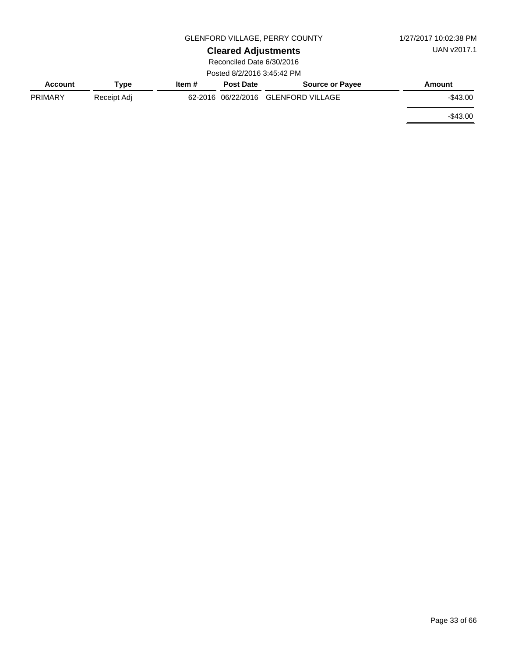|                |             | 1/27/2017 10:02:38 PM |                            |                                     |             |
|----------------|-------------|-----------------------|----------------------------|-------------------------------------|-------------|
|                |             |                       | <b>Cleared Adjustments</b> |                                     | UAN v2017.1 |
|                |             |                       | Reconciled Date 6/30/2016  |                                     |             |
|                |             |                       | Posted 8/2/2016 3:45:42 PM |                                     |             |
| <b>Account</b> | Type        | Item#                 | <b>Post Date</b>           | <b>Source or Payee</b>              | Amount      |
| <b>PRIMARY</b> | Receipt Adj |                       |                            | 62-2016 06/22/2016 GLENFORD VILLAGE | $-$ \$43.00 |
|                |             |                       |                            |                                     | $-$ \$43.00 |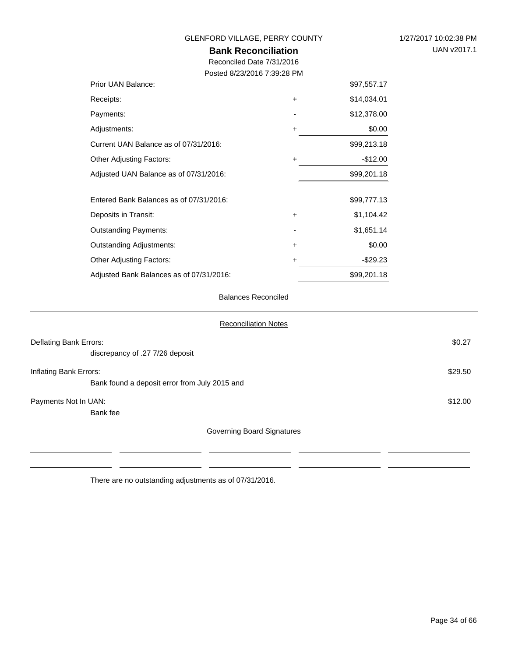| 1/27/2017 10:02:38 PM |
|-----------------------|
| UAN v2017.1           |

## **Bank Reconciliation** GLENFORD VILLAGE, PERRY COUNTY

Reconciled Date 7/31/2016

Posted 8/23/2016 7:39:28 PM

| Prior UAN Balance:                       |           | \$97,557.17 |
|------------------------------------------|-----------|-------------|
| Receipts:                                | +         | \$14,034.01 |
| Payments:                                |           | \$12,378.00 |
| Adjustments:                             | $\ddot{}$ | \$0.00      |
| Current UAN Balance as of 07/31/2016:    |           | \$99,213.18 |
| <b>Other Adjusting Factors:</b>          | +         | $-$12.00$   |
| Adjusted UAN Balance as of 07/31/2016:   |           | \$99,201.18 |
|                                          |           |             |
| Entered Bank Balances as of 07/31/2016:  |           | \$99,777.13 |
| Deposits in Transit:                     | $\ddot{}$ | \$1,104.42  |
| <b>Outstanding Payments:</b>             |           | \$1,651.14  |
| <b>Outstanding Adjustments:</b>          | +         | \$0.00      |
| <b>Other Adjusting Factors:</b>          | +         | $-$ \$29.23 |
| Adjusted Bank Balances as of 07/31/2016: |           | \$99,201.18 |

#### Balances Reconciled

| <b>Reconciliation Notes</b>                                             |         |
|-------------------------------------------------------------------------|---------|
| Deflating Bank Errors:<br>discrepancy of .27 7/26 deposit               | \$0.27  |
| Inflating Bank Errors:<br>Bank found a deposit error from July 2015 and | \$29.50 |
| Payments Not In UAN:<br>Bank fee                                        | \$12.00 |
| Governing Board Signatures                                              |         |

There are no outstanding adjustments as of 07/31/2016.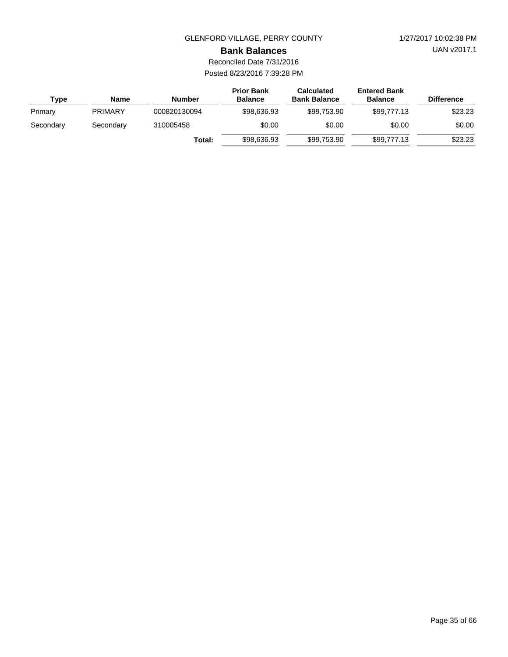UAN v2017.1

#### **Bank Balances**

| Type      | Name           | <b>Number</b> | <b>Prior Bank</b><br><b>Balance</b> | <b>Calculated</b><br><b>Bank Balance</b> | <b>Entered Bank</b><br><b>Balance</b> | <b>Difference</b> |
|-----------|----------------|---------------|-------------------------------------|------------------------------------------|---------------------------------------|-------------------|
| Primary   | <b>PRIMARY</b> | 000820130094  | \$98,636,93                         | \$99.753.90                              | \$99.777.13                           | \$23.23           |
| Secondary | Secondary      | 310005458     | \$0.00                              |                                          | \$0.00                                | \$0.00            |
|           |                | Total:        | \$98,636.93                         | \$99.753.90                              | \$99,777,13                           | \$23.23           |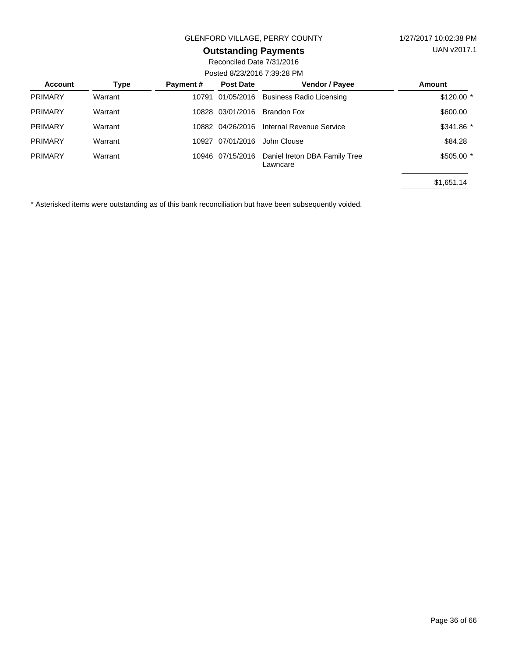# **Outstanding Payments**

Reconciled Date 7/31/2016 Posted 8/23/2016 7:39:28 PM

| <b>Account</b> | Type    | Payment# | <b>Post Date</b> | Vendor / Payee                            | Amount      |  |  |  |
|----------------|---------|----------|------------------|-------------------------------------------|-------------|--|--|--|
| <b>PRIMARY</b> | Warrant | 10791    | 01/05/2016       | <b>Business Radio Licensing</b>           | $$120.00$ * |  |  |  |
| <b>PRIMARY</b> | Warrant | 10828    | 03/01/2016       | <b>Brandon Fox</b>                        | \$600.00    |  |  |  |
| <b>PRIMARY</b> | Warrant |          | 10882 04/26/2016 | Internal Revenue Service                  | \$341.86 *  |  |  |  |
| <b>PRIMARY</b> | Warrant | 10927    | 07/01/2016       | John Clouse                               | \$84.28     |  |  |  |
| <b>PRIMARY</b> | Warrant | 10946    | 07/15/2016       | Daniel Ireton DBA Family Tree<br>Lawncare | $$505.00$ * |  |  |  |
|                |         |          |                  |                                           | \$1,651.14  |  |  |  |

\* Asterisked items were outstanding as of this bank reconciliation but have been subsequently voided.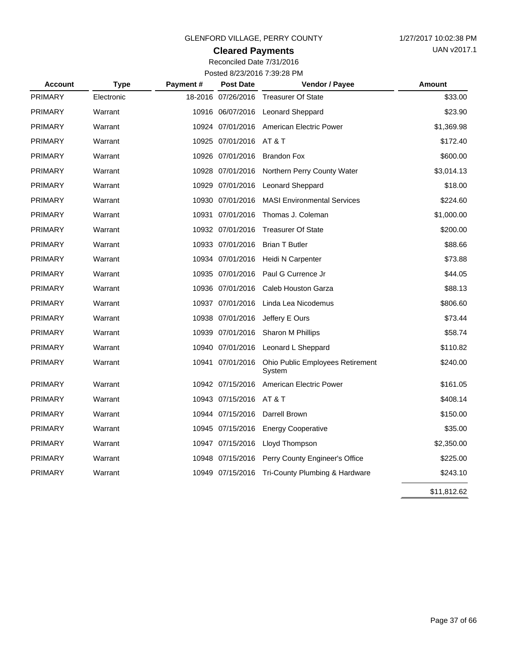## **Cleared Payments**

| <b>Account</b> | <b>Type</b> | Payment# | <b>Post Date</b>        | Vendor / Payee                             | Amount      |
|----------------|-------------|----------|-------------------------|--------------------------------------------|-------------|
| <b>PRIMARY</b> | Electronic  |          | 18-2016 07/26/2016      | <b>Treasurer Of State</b>                  | \$33.00     |
| <b>PRIMARY</b> | Warrant     |          |                         | 10916 06/07/2016 Leonard Sheppard          | \$23.90     |
| <b>PRIMARY</b> | Warrant     |          |                         | 10924 07/01/2016 American Electric Power   | \$1,369.98  |
| <b>PRIMARY</b> | Warrant     |          | 10925 07/01/2016 AT & T |                                            | \$172.40    |
| <b>PRIMARY</b> | Warrant     |          | 10926 07/01/2016        | <b>Brandon Fox</b>                         | \$600.00    |
| <b>PRIMARY</b> | Warrant     |          | 10928 07/01/2016        | Northern Perry County Water                | \$3,014.13  |
| <b>PRIMARY</b> | Warrant     |          | 10929 07/01/2016        | <b>Leonard Sheppard</b>                    | \$18.00     |
| <b>PRIMARY</b> | Warrant     |          | 10930 07/01/2016        | <b>MASI Environmental Services</b>         | \$224.60    |
| <b>PRIMARY</b> | Warrant     |          | 10931 07/01/2016        | Thomas J. Coleman                          | \$1,000.00  |
| <b>PRIMARY</b> | Warrant     |          | 10932 07/01/2016        | <b>Treasurer Of State</b>                  | \$200.00    |
| <b>PRIMARY</b> | Warrant     |          | 10933 07/01/2016        | <b>Brian T Butler</b>                      | \$88.66     |
| <b>PRIMARY</b> | Warrant     |          | 10934 07/01/2016        | Heidi N Carpenter                          | \$73.88     |
| <b>PRIMARY</b> | Warrant     |          | 10935 07/01/2016        | Paul G Currence Jr                         | \$44.05     |
| <b>PRIMARY</b> | Warrant     |          | 10936 07/01/2016        | Caleb Houston Garza                        | \$88.13     |
| <b>PRIMARY</b> | Warrant     |          | 10937 07/01/2016        | Linda Lea Nicodemus                        | \$806.60    |
| <b>PRIMARY</b> | Warrant     |          | 10938 07/01/2016        | Jeffery E Ours                             | \$73.44     |
| <b>PRIMARY</b> | Warrant     |          | 10939 07/01/2016        | Sharon M Phillips                          | \$58.74     |
| <b>PRIMARY</b> | Warrant     |          | 10940 07/01/2016        | Leonard L Sheppard                         | \$110.82    |
| <b>PRIMARY</b> | Warrant     |          | 10941 07/01/2016        | Ohio Public Employees Retirement<br>System | \$240.00    |
| <b>PRIMARY</b> | Warrant     |          | 10942 07/15/2016        | <b>American Electric Power</b>             | \$161.05    |
| <b>PRIMARY</b> | Warrant     |          | 10943 07/15/2016        | AT & T                                     | \$408.14    |
| <b>PRIMARY</b> | Warrant     |          | 10944 07/15/2016        | Darrell Brown                              | \$150.00    |
| <b>PRIMARY</b> | Warrant     |          | 10945 07/15/2016        | <b>Energy Cooperative</b>                  | \$35.00     |
| <b>PRIMARY</b> | Warrant     |          | 10947 07/15/2016        | Lloyd Thompson                             | \$2,350.00  |
| <b>PRIMARY</b> | Warrant     |          | 10948 07/15/2016        | Perry County Engineer's Office             | \$225.00    |
| <b>PRIMARY</b> | Warrant     |          | 10949 07/15/2016        | Tri-County Plumbing & Hardware             | \$243.10    |
|                |             |          |                         |                                            | \$11,812.62 |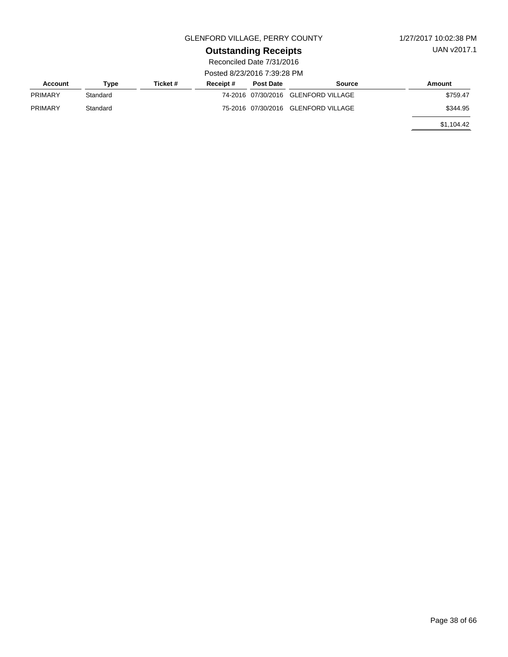UAN v2017.1

# **Outstanding Receipts**

|                |          |          | , osicu ozorzo i o 7.00.zo i ini |                  |                                     |            |
|----------------|----------|----------|----------------------------------|------------------|-------------------------------------|------------|
| Account        | Type     | Ticket # | Receipt#                         | <b>Post Date</b> | Source                              | Amount     |
| <b>PRIMARY</b> | Standard |          |                                  |                  | 74-2016 07/30/2016 GLENFORD VILLAGE | \$759.47   |
| <b>PRIMARY</b> | Standard |          |                                  |                  | 75-2016 07/30/2016 GLENFORD VILLAGE | \$344.95   |
|                |          |          |                                  |                  |                                     | \$1.104.42 |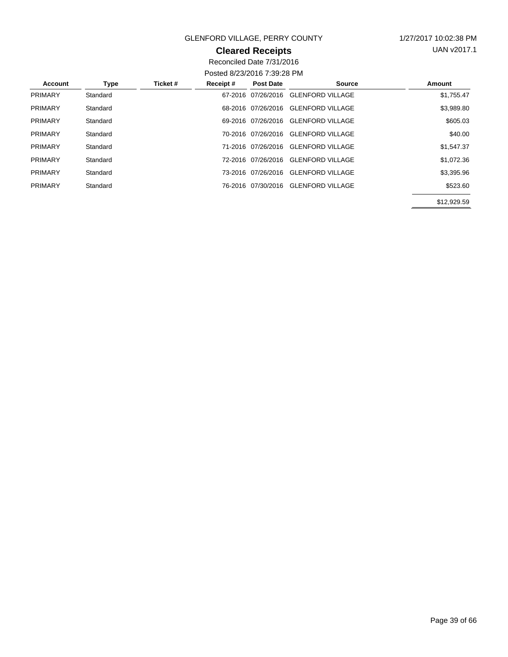### **Cleared Receipts**

UAN v2017.1

| Account        | Type     | Ticket # | Receipt# | <b>Post Date</b>   | <b>Source</b>           | Amount      |
|----------------|----------|----------|----------|--------------------|-------------------------|-------------|
| <b>PRIMARY</b> | Standard |          |          | 67-2016 07/26/2016 | <b>GLENFORD VILLAGE</b> | \$1,755.47  |
| <b>PRIMARY</b> | Standard |          |          | 68-2016 07/26/2016 | <b>GLENFORD VILLAGE</b> | \$3,989.80  |
| <b>PRIMARY</b> | Standard |          |          | 69-2016 07/26/2016 | <b>GLENFORD VILLAGE</b> | \$605.03    |
| <b>PRIMARY</b> | Standard |          |          | 70-2016 07/26/2016 | <b>GLENFORD VILLAGE</b> | \$40.00     |
| <b>PRIMARY</b> | Standard |          |          | 71-2016 07/26/2016 | <b>GLENFORD VILLAGE</b> | \$1,547.37  |
| <b>PRIMARY</b> | Standard |          |          | 72-2016 07/26/2016 | <b>GLENFORD VILLAGE</b> | \$1.072.36  |
| <b>PRIMARY</b> | Standard |          |          | 73-2016 07/26/2016 | <b>GLENFORD VILLAGE</b> | \$3,395.96  |
| <b>PRIMARY</b> | Standard |          |          | 76-2016 07/30/2016 | <b>GLENFORD VILLAGE</b> | \$523.60    |
|                |          |          |          |                    |                         | \$12,929.59 |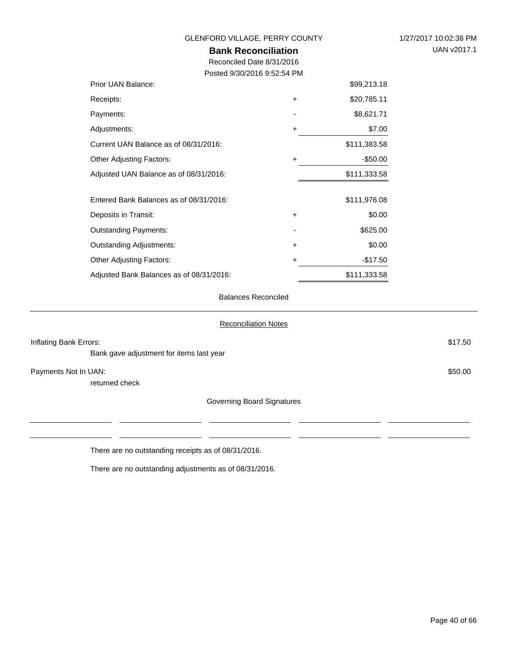| GLENFORD VILLAGE, PERRY COUNTY<br><b>Bank Reconciliation</b> | 1/27/2017 10:02:38 PM<br>UAN v2017.1 |              |  |
|--------------------------------------------------------------|--------------------------------------|--------------|--|
| Reconciled Date 8/31/2016                                    |                                      |              |  |
| Posted 9/30/2016 9:52:54 PM                                  |                                      |              |  |
| Prior UAN Balance:                                           |                                      | \$99,213.18  |  |
| Receipts:                                                    | +                                    | \$20,785.11  |  |
| Payments:                                                    |                                      | \$8,621.71   |  |
| Adjustments:                                                 | +                                    | \$7.00       |  |
| Current UAN Balance as of 08/31/2016:                        |                                      | \$111,383.58 |  |
| <b>Other Adjusting Factors:</b>                              | +                                    | $-$ \$50.00  |  |
| Adjusted UAN Balance as of 08/31/2016:                       |                                      | \$111,333.58 |  |
| Entered Bank Balances as of 08/31/2016:                      |                                      | \$111,976.08 |  |
| Deposits in Transit:                                         | +                                    | \$0.00       |  |
| <b>Outstanding Payments:</b>                                 |                                      | \$625.00     |  |
| <b>Outstanding Adjustments:</b>                              | +                                    | \$0.00       |  |
| <b>Other Adjusting Factors:</b>                              | +                                    | $-$17.50$    |  |
| Adjusted Bank Balances as of 08/31/2016:                     |                                      | \$111,333.58 |  |
|                                                              |                                      |              |  |

### Balances Reconciled

|                        |                                          | <b>Reconciliation Notes</b> |  |
|------------------------|------------------------------------------|-----------------------------|--|
| Inflating Bank Errors: |                                          | \$17.50                     |  |
|                        | Bank gave adjustment for items last year |                             |  |
| Payments Not In UAN:   |                                          | \$50.00                     |  |
|                        | returned check                           |                             |  |
|                        |                                          | Governing Board Signatures  |  |
|                        |                                          |                             |  |
|                        |                                          |                             |  |
|                        |                                          |                             |  |

There are no outstanding receipts as of 08/31/2016.

There are no outstanding adjustments as of 08/31/2016.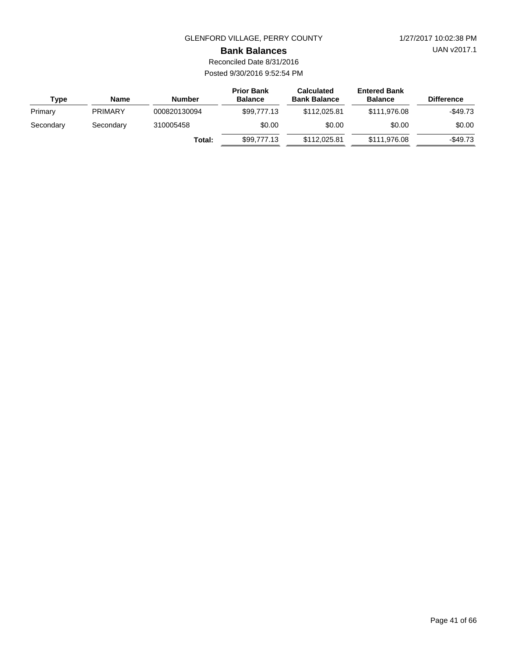UAN v2017.1

#### **Bank Balances**

Reconciled Date 8/31/2016 Posted 9/30/2016 9:52:54 PM

| Type      | Name           | <b>Number</b> | <b>Prior Bank</b><br><b>Balance</b> | <b>Calculated</b><br><b>Bank Balance</b> | <b>Entered Bank</b><br><b>Balance</b> | <b>Difference</b> |
|-----------|----------------|---------------|-------------------------------------|------------------------------------------|---------------------------------------|-------------------|
| Primary   | <b>PRIMARY</b> | 000820130094  | \$99,777,13                         | \$112,025.81                             | \$111.976.08                          | $-$ \$49.73       |
| Secondary | Secondary      | 310005458     | \$0.00                              |                                          | \$0.00                                | \$0.00            |
|           |                | Total:        | \$99,777,13                         | \$112,025.81                             | \$111.976.08                          | $-$49.73$         |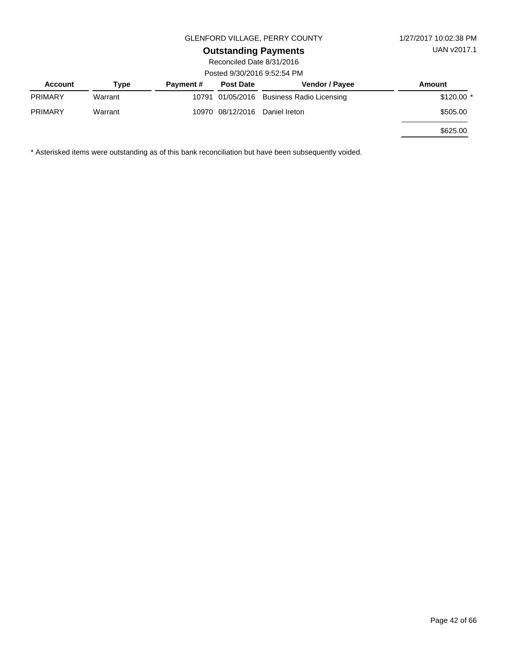## **Outstanding Payments**

Reconciled Date 8/31/2016 Posted 9/30/2016 9:52:54 PM

| <b>Account</b> | Type    | <b>Payment #</b> | <b>Post Date</b> | Vendor / Payee                            | Amount      |  |  |  |
|----------------|---------|------------------|------------------|-------------------------------------------|-------------|--|--|--|
| <b>PRIMARY</b> | Warrant |                  |                  | 10791 01/05/2016 Business Radio Licensing | $$120.00$ * |  |  |  |
| <b>PRIMARY</b> | Warrant |                  | 10970 08/12/2016 | Daniel Ireton                             | \$505.00    |  |  |  |
|                |         |                  |                  |                                           | \$625.00    |  |  |  |

\* Asterisked items were outstanding as of this bank reconciliation but have been subsequently voided.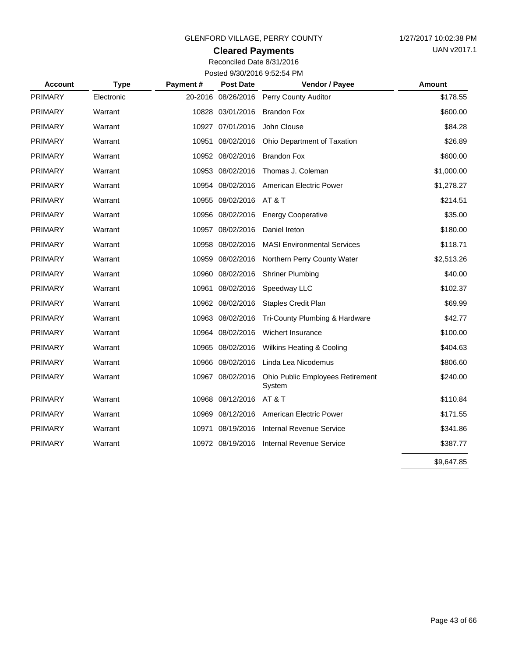## **Cleared Payments**

Reconciled Date 8/31/2016 Posted 9/30/2016 9:52:54 PM

| <b>Account</b> | <b>Type</b> | <b>Payment#</b> | <b>Post Date</b>   | Vendor / Payee                             | <b>Amount</b> |
|----------------|-------------|-----------------|--------------------|--------------------------------------------|---------------|
| <b>PRIMARY</b> | Electronic  |                 | 20-2016 08/26/2016 | Perry County Auditor                       | \$178.55      |
| <b>PRIMARY</b> | Warrant     |                 | 10828 03/01/2016   | <b>Brandon Fox</b>                         | \$600.00      |
| <b>PRIMARY</b> | Warrant     |                 | 10927 07/01/2016   | John Clouse                                | \$84.28       |
| <b>PRIMARY</b> | Warrant     |                 | 10951 08/02/2016   | Ohio Department of Taxation                | \$26.89       |
| <b>PRIMARY</b> | Warrant     |                 | 10952 08/02/2016   | <b>Brandon Fox</b>                         | \$600.00      |
| <b>PRIMARY</b> | Warrant     |                 | 10953 08/02/2016   | Thomas J. Coleman                          | \$1,000.00    |
| <b>PRIMARY</b> | Warrant     |                 | 10954 08/02/2016   | American Electric Power                    | \$1,278.27    |
| <b>PRIMARY</b> | Warrant     |                 | 10955 08/02/2016   | AT&T                                       | \$214.51      |
| <b>PRIMARY</b> | Warrant     |                 | 10956 08/02/2016   | <b>Energy Cooperative</b>                  | \$35.00       |
| <b>PRIMARY</b> | Warrant     |                 | 10957 08/02/2016   | Daniel Ireton                              | \$180.00      |
| <b>PRIMARY</b> | Warrant     |                 | 10958 08/02/2016   | <b>MASI Environmental Services</b>         | \$118.71      |
| <b>PRIMARY</b> | Warrant     |                 | 10959 08/02/2016   | Northern Perry County Water                | \$2,513.26    |
| <b>PRIMARY</b> | Warrant     |                 | 10960 08/02/2016   | <b>Shriner Plumbing</b>                    | \$40.00       |
| <b>PRIMARY</b> | Warrant     |                 | 10961 08/02/2016   | Speedway LLC                               | \$102.37      |
| <b>PRIMARY</b> | Warrant     |                 | 10962 08/02/2016   | <b>Staples Credit Plan</b>                 | \$69.99       |
| <b>PRIMARY</b> | Warrant     |                 | 10963 08/02/2016   | Tri-County Plumbing & Hardware             | \$42.77       |
| <b>PRIMARY</b> | Warrant     |                 | 10964 08/02/2016   | Wichert Insurance                          | \$100.00      |
| <b>PRIMARY</b> | Warrant     |                 | 10965 08/02/2016   | <b>Wilkins Heating &amp; Cooling</b>       | \$404.63      |
| <b>PRIMARY</b> | Warrant     |                 | 10966 08/02/2016   | Linda Lea Nicodemus                        | \$806.60      |
| <b>PRIMARY</b> | Warrant     |                 | 10967 08/02/2016   | Ohio Public Employees Retirement<br>System | \$240.00      |
| <b>PRIMARY</b> | Warrant     |                 | 10968 08/12/2016   | AT&T                                       | \$110.84      |
| <b>PRIMARY</b> | Warrant     |                 | 10969 08/12/2016   | American Electric Power                    | \$171.55      |
| <b>PRIMARY</b> | Warrant     |                 | 10971 08/19/2016   | <b>Internal Revenue Service</b>            | \$341.86      |
| <b>PRIMARY</b> | Warrant     |                 | 10972 08/19/2016   | Internal Revenue Service                   | \$387.77      |
|                |             |                 |                    |                                            | \$9,647.85    |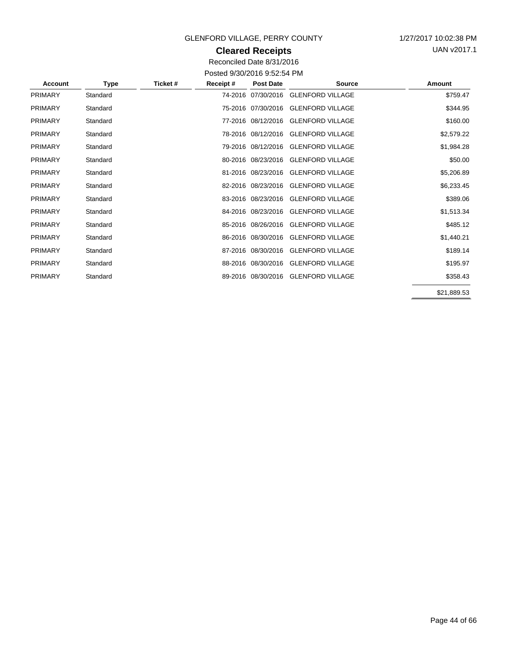## **Cleared Receipts**

UAN v2017.1

Reconciled Date 8/31/2016 Posted 9/30/2016 9:52:54 PM

| Account        | Type     | Ticket # | Receipt# | <b>Post Date</b>   | <b>Source</b>           | Amount      |
|----------------|----------|----------|----------|--------------------|-------------------------|-------------|
| <b>PRIMARY</b> | Standard |          |          | 74-2016 07/30/2016 | <b>GLENFORD VILLAGE</b> | \$759.47    |
| <b>PRIMARY</b> | Standard |          |          | 75-2016 07/30/2016 | <b>GLENFORD VILLAGE</b> | \$344.95    |
| <b>PRIMARY</b> | Standard |          |          | 77-2016 08/12/2016 | <b>GLENFORD VILLAGE</b> | \$160.00    |
| <b>PRIMARY</b> | Standard |          |          | 78-2016 08/12/2016 | <b>GLENFORD VILLAGE</b> | \$2,579.22  |
| <b>PRIMARY</b> | Standard |          |          | 79-2016 08/12/2016 | <b>GLENFORD VILLAGE</b> | \$1,984.28  |
| <b>PRIMARY</b> | Standard |          |          | 80-2016 08/23/2016 | <b>GLENFORD VILLAGE</b> | \$50.00     |
| <b>PRIMARY</b> | Standard |          |          | 81-2016 08/23/2016 | <b>GLENFORD VILLAGE</b> | \$5,206.89  |
| <b>PRIMARY</b> | Standard |          |          | 82-2016 08/23/2016 | <b>GLENFORD VILLAGE</b> | \$6,233.45  |
| <b>PRIMARY</b> | Standard |          |          | 83-2016 08/23/2016 | <b>GLENFORD VILLAGE</b> | \$389.06    |
| <b>PRIMARY</b> | Standard |          |          | 84-2016 08/23/2016 | <b>GLENFORD VILLAGE</b> | \$1,513.34  |
| <b>PRIMARY</b> | Standard |          |          | 85-2016 08/26/2016 | <b>GLENFORD VILLAGE</b> | \$485.12    |
| <b>PRIMARY</b> | Standard |          |          | 86-2016 08/30/2016 | <b>GLENFORD VILLAGE</b> | \$1,440.21  |
| <b>PRIMARY</b> | Standard |          |          | 87-2016 08/30/2016 | <b>GLENFORD VILLAGE</b> | \$189.14    |
| <b>PRIMARY</b> | Standard |          |          | 88-2016 08/30/2016 | <b>GLENFORD VILLAGE</b> | \$195.97    |
| <b>PRIMARY</b> | Standard |          |          | 89-2016 08/30/2016 | <b>GLENFORD VILLAGE</b> | \$358.43    |
|                |          |          |          |                    |                         | \$21,889.53 |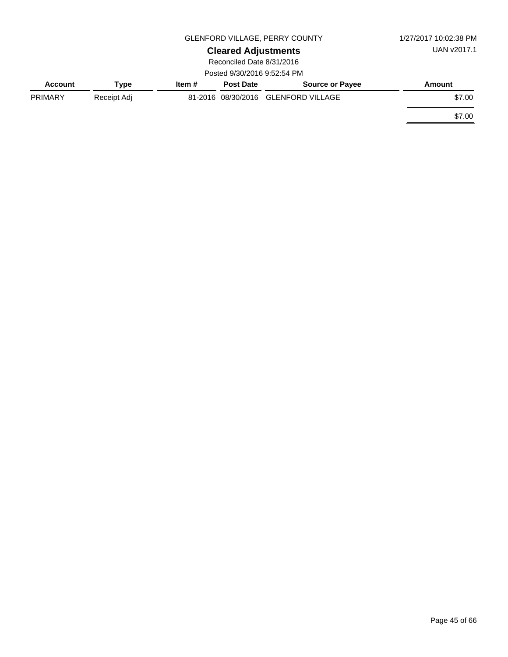|                |             | 1/27/2017 10:02:38 PM      |                             |                                     |        |
|----------------|-------------|----------------------------|-----------------------------|-------------------------------------|--------|
|                |             | <b>Cleared Adjustments</b> | UAN v2017.1                 |                                     |        |
|                |             |                            | Reconciled Date 8/31/2016   |                                     |        |
|                |             |                            | Posted 9/30/2016 9:52:54 PM |                                     |        |
| <b>Account</b> | Type        | Item $#$                   | <b>Post Date</b>            | <b>Source or Payee</b>              | Amount |
| <b>PRIMARY</b> | Receipt Adj |                            |                             | 81-2016 08/30/2016 GLENFORD VILLAGE | \$7.00 |
|                |             |                            |                             |                                     | \$7.00 |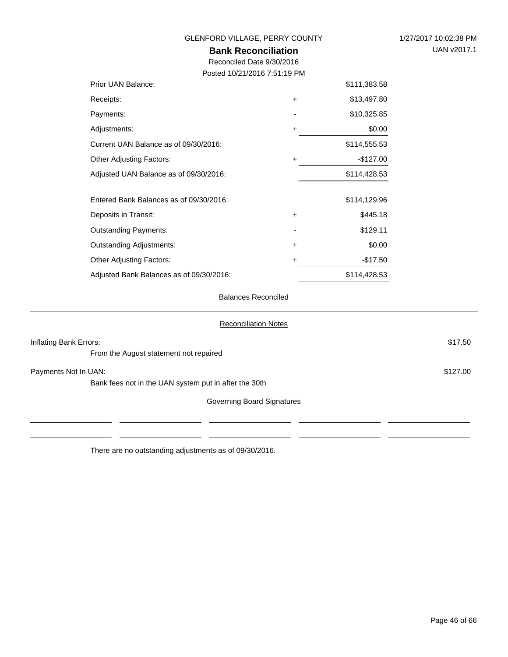| GLENFORD VILLAGE, PERRY COUNTY<br><b>Bank Reconciliation</b><br>Reconciled Date 9/30/2016<br>Posted 10/21/2016 7:51:19 PM |           |              | 1/27/2017 10:02:38 PM<br>UAN v2017.1 |
|---------------------------------------------------------------------------------------------------------------------------|-----------|--------------|--------------------------------------|
| Prior UAN Balance:                                                                                                        |           | \$111,383.58 |                                      |
| Receipts:                                                                                                                 | $\ddot{}$ | \$13,497.80  |                                      |
| Payments:                                                                                                                 |           | \$10,325.85  |                                      |
| Adjustments:                                                                                                              | +         | \$0.00       |                                      |
| Current UAN Balance as of 09/30/2016:                                                                                     |           | \$114,555.53 |                                      |
| <b>Other Adjusting Factors:</b>                                                                                           | +         | $-$127.00$   |                                      |
| Adjusted UAN Balance as of 09/30/2016:                                                                                    |           | \$114,428.53 |                                      |
| Entered Bank Balances as of 09/30/2016:                                                                                   |           | \$114,129.96 |                                      |
| Deposits in Transit:                                                                                                      | +         | \$445.18     |                                      |
| <b>Outstanding Payments:</b>                                                                                              |           | \$129.11     |                                      |
| <b>Outstanding Adjustments:</b>                                                                                           | +         | \$0.00       |                                      |
| <b>Other Adjusting Factors:</b>                                                                                           | +         | $-$17.50$    |                                      |
| Adjusted Bank Balances as of 09/30/2016:                                                                                  |           | \$114,428.53 |                                      |

Balances Reconciled

| <b>Reconciliation Notes</b>                           |          |
|-------------------------------------------------------|----------|
| Inflating Bank Errors:                                | \$17.50  |
| From the August statement not repaired                |          |
| Payments Not In UAN:                                  | \$127.00 |
| Bank fees not in the UAN system put in after the 30th |          |
| Governing Board Signatures                            |          |
|                                                       |          |
|                                                       |          |

There are no outstanding adjustments as of 09/30/2016.

 $\overline{\phantom{0}}$ L.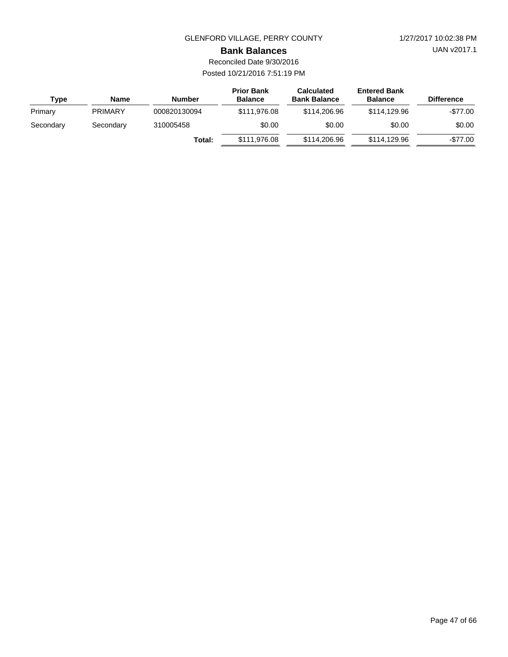UAN v2017.1

#### **Bank Balances**

| Type      | Name           | <b>Number</b> | <b>Prior Bank</b><br><b>Balance</b> | <b>Calculated</b><br><b>Bank Balance</b> | <b>Entered Bank</b><br><b>Balance</b> | <b>Difference</b> |
|-----------|----------------|---------------|-------------------------------------|------------------------------------------|---------------------------------------|-------------------|
| Primary   | <b>PRIMARY</b> | 000820130094  | \$111.976.08                        | \$114,206.96                             | \$114,129,96                          | $-\$77.00$        |
| Secondary | Secondary      | 310005458     | \$0.00                              | \$0.00                                   | \$0.00                                | \$0.00            |
|           |                | Total:        | \$111.976.08                        | \$114,206.96                             | \$114,129,96                          | $-$77.00$         |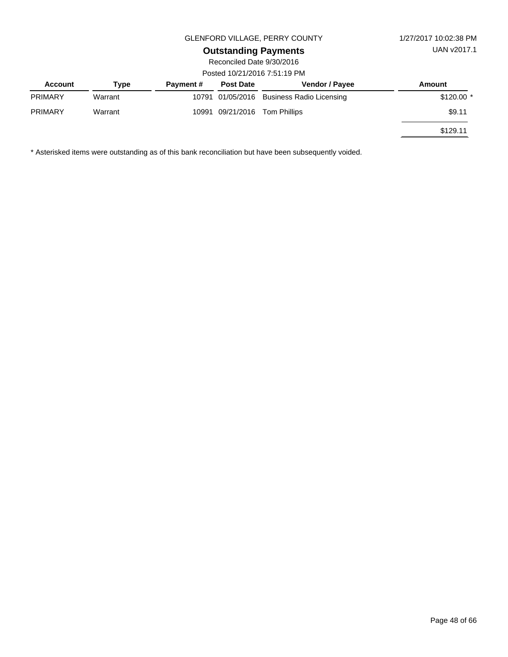# **Outstanding Payments**

Reconciled Date 9/30/2016 Posted 10/21/2016 7:51:19 PM

| <b>Account</b> | Type    | <b>Payment #</b> | <b>Post Date</b> | Vendor / Payee                            | Amount      |
|----------------|---------|------------------|------------------|-------------------------------------------|-------------|
| <b>PRIMARY</b> | Warrant |                  |                  | 10791 01/05/2016 Business Radio Licensing | $$120.00$ * |
| <b>PRIMARY</b> | Warrant | 10991            | 09/21/2016       | Tom Phillips                              | \$9.11      |
|                |         |                  |                  |                                           | \$129.11    |

\* Asterisked items were outstanding as of this bank reconciliation but have been subsequently voided.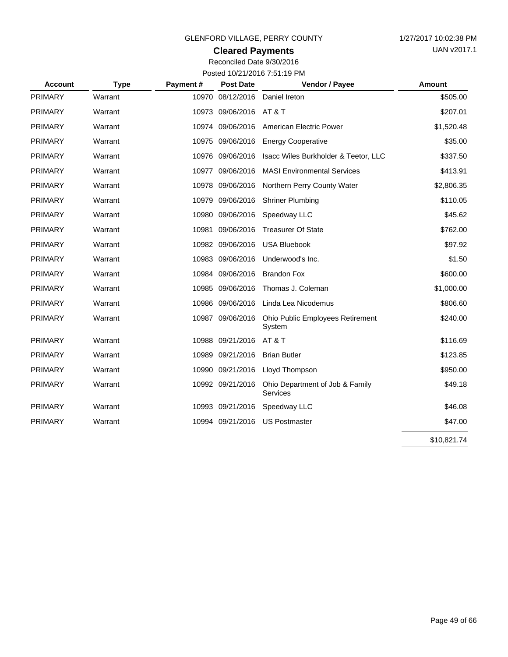## **Cleared Payments**

| <b>Account</b> | <b>Type</b> | Payment# | <b>Post Date</b> | Vendor / Payee                              | Amount      |
|----------------|-------------|----------|------------------|---------------------------------------------|-------------|
| PRIMARY        | Warrant     | 10970    | 08/12/2016       | Daniel Ireton                               | \$505.00    |
| <b>PRIMARY</b> | Warrant     |          | 10973 09/06/2016 | AT & T                                      | \$207.01    |
| <b>PRIMARY</b> | Warrant     |          | 10974 09/06/2016 | American Electric Power                     | \$1,520.48  |
| <b>PRIMARY</b> | Warrant     |          | 10975 09/06/2016 | <b>Energy Cooperative</b>                   | \$35.00     |
| <b>PRIMARY</b> | Warrant     |          | 10976 09/06/2016 | Isacc Wiles Burkholder & Teetor, LLC        | \$337.50    |
| <b>PRIMARY</b> | Warrant     |          | 10977 09/06/2016 | <b>MASI Environmental Services</b>          | \$413.91    |
| <b>PRIMARY</b> | Warrant     |          | 10978 09/06/2016 | Northern Perry County Water                 | \$2,806.35  |
| <b>PRIMARY</b> | Warrant     |          | 10979 09/06/2016 | <b>Shriner Plumbing</b>                     | \$110.05    |
| <b>PRIMARY</b> | Warrant     |          | 10980 09/06/2016 | Speedway LLC                                | \$45.62     |
| <b>PRIMARY</b> | Warrant     |          | 10981 09/06/2016 | <b>Treasurer Of State</b>                   | \$762.00    |
| <b>PRIMARY</b> | Warrant     |          | 10982 09/06/2016 | <b>USA Bluebook</b>                         | \$97.92     |
| <b>PRIMARY</b> | Warrant     |          | 10983 09/06/2016 | Underwood's Inc.                            | \$1.50      |
| PRIMARY        | Warrant     |          | 10984 09/06/2016 | <b>Brandon Fox</b>                          | \$600.00    |
| <b>PRIMARY</b> | Warrant     |          | 10985 09/06/2016 | Thomas J. Coleman                           | \$1,000.00  |
| <b>PRIMARY</b> | Warrant     |          | 10986 09/06/2016 | Linda Lea Nicodemus                         | \$806.60    |
| <b>PRIMARY</b> | Warrant     |          | 10987 09/06/2016 | Ohio Public Employees Retirement<br>System  | \$240.00    |
| <b>PRIMARY</b> | Warrant     |          | 10988 09/21/2016 | <b>AT &amp; T</b>                           | \$116.69    |
| <b>PRIMARY</b> | Warrant     |          | 10989 09/21/2016 | <b>Brian Butler</b>                         | \$123.85    |
| <b>PRIMARY</b> | Warrant     |          | 10990 09/21/2016 | Lloyd Thompson                              | \$950.00    |
| <b>PRIMARY</b> | Warrant     |          | 10992 09/21/2016 | Ohio Department of Job & Family<br>Services | \$49.18     |
| <b>PRIMARY</b> | Warrant     |          | 10993 09/21/2016 | Speedway LLC                                | \$46.08     |
| <b>PRIMARY</b> | Warrant     |          | 10994 09/21/2016 | <b>US Postmaster</b>                        | \$47.00     |
|                |             |          |                  |                                             | \$10,821.74 |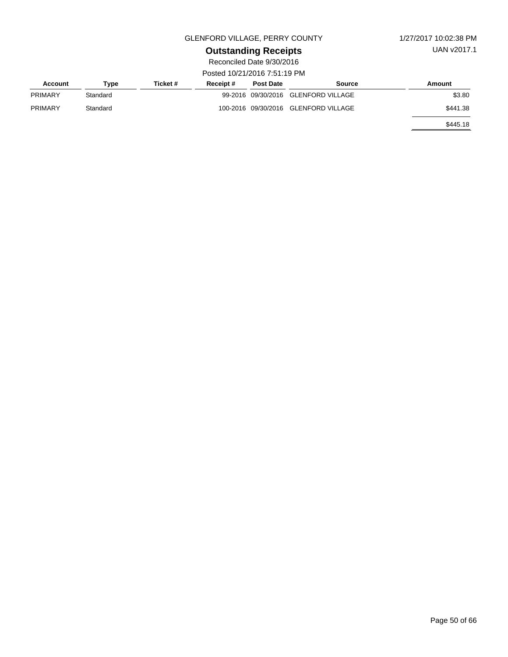UAN v2017.1

# **Outstanding Receipts**

| Account        | Type     | Ticket # | Receipt# | <b>Post Date</b> | Source                               | Amount   |
|----------------|----------|----------|----------|------------------|--------------------------------------|----------|
| <b>PRIMARY</b> | Standard |          |          |                  | 99-2016 09/30/2016 GLENFORD VILLAGE  | \$3.80   |
| PRIMARY        | Standard |          |          |                  | 100-2016 09/30/2016 GLENFORD VILLAGE | \$441.38 |
|                |          |          |          |                  |                                      | \$445.18 |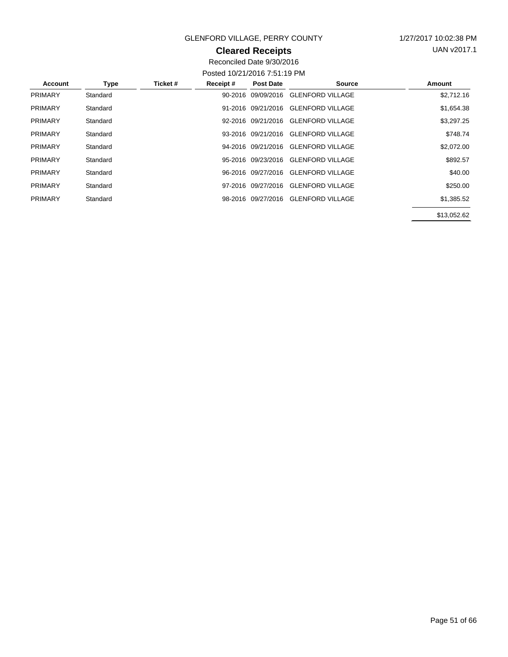### **Cleared Receipts**

UAN v2017.1

| Account        | <b>Type</b> | Ticket # | Receipt# | <b>Post Date</b>   | Source                              | Amount     |
|----------------|-------------|----------|----------|--------------------|-------------------------------------|------------|
| <b>PRIMARY</b> | Standard    |          |          | 90-2016 09/09/2016 | <b>GLENFORD VILLAGE</b>             | \$2,712.16 |
| <b>PRIMARY</b> | Standard    |          |          | 91-2016 09/21/2016 | <b>GLENFORD VILLAGE</b>             | \$1,654.38 |
| <b>PRIMARY</b> | Standard    |          |          | 92-2016 09/21/2016 | <b>GLENFORD VILLAGE</b>             | \$3,297.25 |
| <b>PRIMARY</b> | Standard    |          |          |                    | 93-2016 09/21/2016 GLENFORD VILLAGE | \$748.74   |
| <b>PRIMARY</b> | Standard    |          |          | 94-2016 09/21/2016 | <b>GLENFORD VILLAGE</b>             | \$2,072.00 |
| <b>PRIMARY</b> | Standard    |          |          | 95-2016 09/23/2016 | <b>GLENFORD VILLAGE</b>             | \$892.57   |
| <b>PRIMARY</b> | Standard    |          |          | 96-2016 09/27/2016 | <b>GLENFORD VILLAGE</b>             | \$40.00    |
| <b>PRIMARY</b> | Standard    |          |          | 97-2016 09/27/2016 | <b>GLENFORD VILLAGE</b>             | \$250.00   |
| <b>PRIMARY</b> | Standard    |          |          | 98-2016 09/27/2016 | <b>GLENFORD VILLAGE</b>             | \$1,385.52 |
|                |             |          |          |                    |                                     | 0120000    |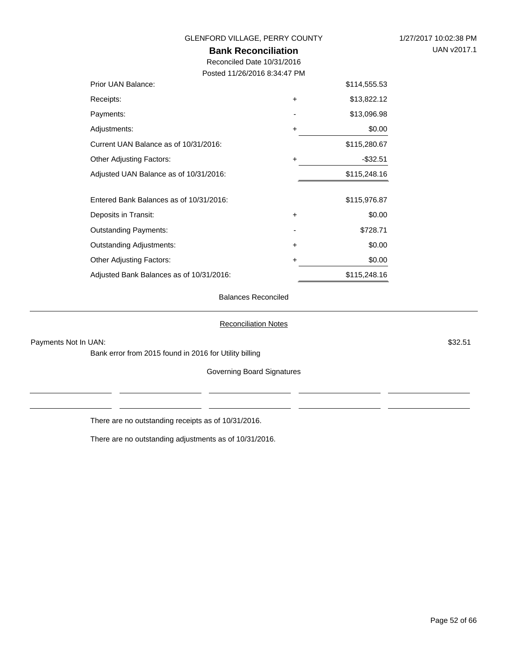### **Bank Reconciliation** GLENFORD VILLAGE, PERRY COUNTY 1/27/2017 10:02:38 PM Reconciled Date 10/31/2016 Posted 11/26/2016 8:34:47 PM \$114,555.53

| Prior UAN Balance:                       |           | \$114,555.53 |
|------------------------------------------|-----------|--------------|
| Receipts:                                | $\ddot{}$ | \$13,822.12  |
| Payments:                                |           | \$13,096.98  |
| Adjustments:                             | +         | \$0.00       |
| Current UAN Balance as of 10/31/2016:    |           | \$115,280.67 |
| <b>Other Adjusting Factors:</b>          | $\ddot{}$ | $-$32.51$    |
| Adjusted UAN Balance as of 10/31/2016:   |           | \$115,248.16 |
| Entered Bank Balances as of 10/31/2016:  |           | \$115,976.87 |
| Deposits in Transit:                     | $\ddot{}$ | \$0.00       |
| <b>Outstanding Payments:</b>             |           | \$728.71     |
| <b>Outstanding Adjustments:</b>          | $\ddot{}$ | \$0.00       |
| <b>Other Adjusting Factors:</b>          | +         | \$0.00       |
| Adjusted Bank Balances as of 10/31/2016: |           | \$115,248.16 |

#### Balances Reconciled

#### Reconciliation Notes

Payments Not In UAN: \$32.51

Bank error from 2015 found in 2016 for Utility billing

Governing Board Signatures

There are no outstanding receipts as of 10/31/2016.

There are no outstanding adjustments as of 10/31/2016.

UAN v2017.1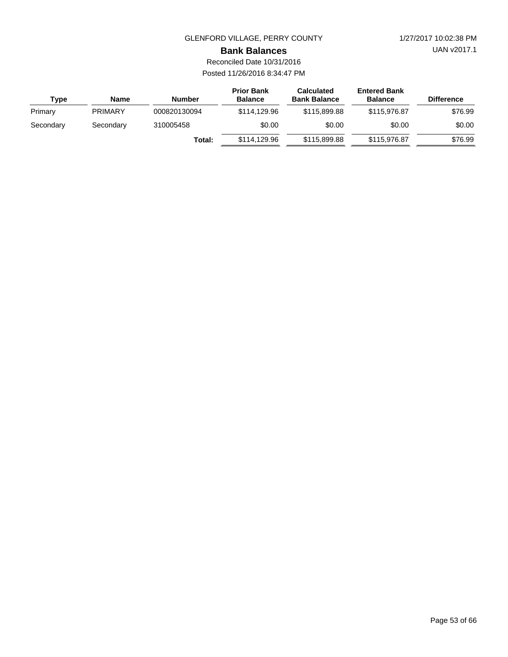UAN v2017.1

### **Bank Balances**

Reconciled Date 10/31/2016 Posted 11/26/2016 8:34:47 PM

| Type      | Name           | <b>Number</b> | <b>Prior Bank</b><br><b>Balance</b> | <b>Calculated</b><br><b>Bank Balance</b> | <b>Entered Bank</b><br><b>Balance</b> | <b>Difference</b> |
|-----------|----------------|---------------|-------------------------------------|------------------------------------------|---------------------------------------|-------------------|
| Primary   | <b>PRIMARY</b> | 000820130094  | \$114,129,96                        | \$115,899,88                             | \$115,976.87                          | \$76.99           |
| Secondary | Secondary      | 310005458     | \$0.00                              | \$0.00                                   | \$0.00                                | \$0.00            |
|           |                | Total:        | \$114,129,96                        | \$115,899.88                             | \$115,976.87                          | \$76.99           |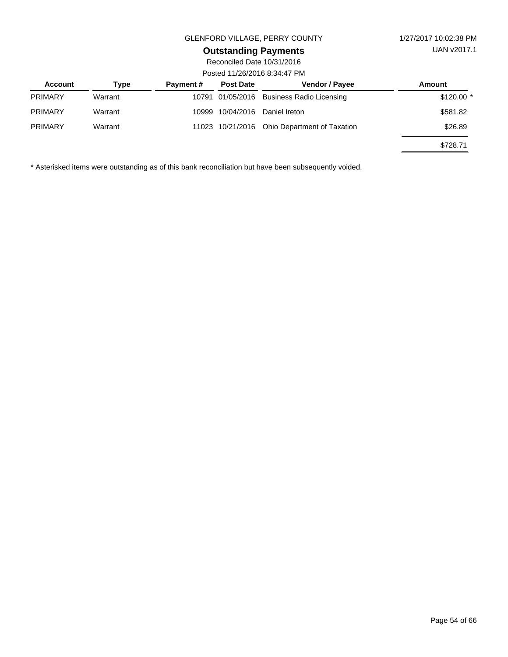# **Outstanding Payments**

Reconciled Date 10/31/2016 Posted 11/26/2016 8:34:47 PM

| <b>Account</b> | Type    | <b>Payment #</b> | <b>Post Date</b> | <b>Vendor / Payee</b>                        | Amount      |  |  |
|----------------|---------|------------------|------------------|----------------------------------------------|-------------|--|--|
| <b>PRIMARY</b> | Warrant |                  |                  | 10791 01/05/2016 Business Radio Licensing    | $$120.00$ * |  |  |
| <b>PRIMARY</b> | Warrant |                  | 10999 10/04/2016 | Daniel Ireton                                | \$581.82    |  |  |
| <b>PRIMARY</b> | Warrant |                  |                  | 11023 10/21/2016 Ohio Department of Taxation | \$26.89     |  |  |
|                |         |                  |                  |                                              | \$728.71    |  |  |

\* Asterisked items were outstanding as of this bank reconciliation but have been subsequently voided.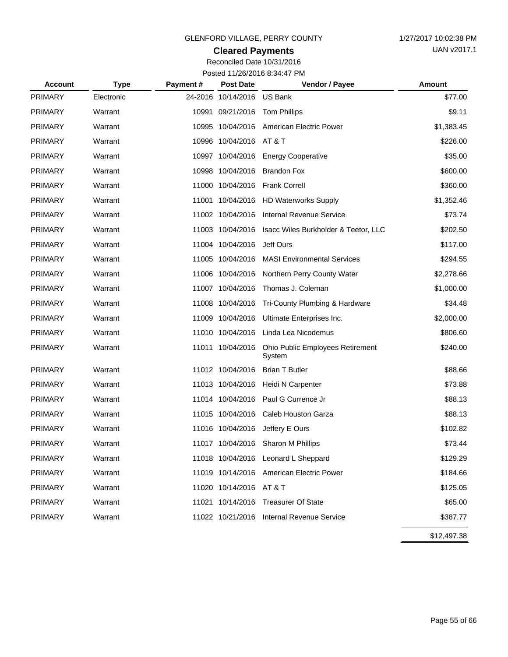## **Cleared Payments**

Reconciled Date 10/31/2016 Posted 11/26/2016 8:34:47 PM

| <b>Account</b> | <b>Type</b> | Payment# | <b>Post Date</b>           | Vendor / Payee                             | <b>Amount</b> |
|----------------|-------------|----------|----------------------------|--------------------------------------------|---------------|
| <b>PRIMARY</b> | Electronic  |          | 24-2016 10/14/2016 US Bank |                                            | \$77.00       |
| <b>PRIMARY</b> | Warrant     |          | 10991 09/21/2016           | <b>Tom Phillips</b>                        | \$9.11        |
| <b>PRIMARY</b> | Warrant     |          | 10995 10/04/2016           | American Electric Power                    | \$1,383.45    |
| <b>PRIMARY</b> | Warrant     |          | 10996 10/04/2016 AT&T      |                                            | \$226.00      |
| <b>PRIMARY</b> | Warrant     |          | 10997 10/04/2016           | <b>Energy Cooperative</b>                  | \$35.00       |
| <b>PRIMARY</b> | Warrant     |          | 10998 10/04/2016           | <b>Brandon Fox</b>                         | \$600.00      |
| <b>PRIMARY</b> | Warrant     |          | 11000 10/04/2016           | <b>Frank Correll</b>                       | \$360.00      |
| <b>PRIMARY</b> | Warrant     |          |                            | 11001 10/04/2016 HD Waterworks Supply      | \$1,352.46    |
| <b>PRIMARY</b> | Warrant     |          | 11002 10/04/2016           | <b>Internal Revenue Service</b>            | \$73.74       |
| <b>PRIMARY</b> | Warrant     |          | 11003 10/04/2016           | Isacc Wiles Burkholder & Teetor, LLC       | \$202.50      |
| <b>PRIMARY</b> | Warrant     |          | 11004 10/04/2016           | Jeff Ours                                  | \$117.00      |
| <b>PRIMARY</b> | Warrant     |          | 11005 10/04/2016           | <b>MASI Environmental Services</b>         | \$294.55      |
| <b>PRIMARY</b> | Warrant     |          | 11006 10/04/2016           | Northern Perry County Water                | \$2,278.66    |
| <b>PRIMARY</b> | Warrant     |          | 11007 10/04/2016           | Thomas J. Coleman                          | \$1,000.00    |
| <b>PRIMARY</b> | Warrant     |          | 11008 10/04/2016           | Tri-County Plumbing & Hardware             | \$34.48       |
| <b>PRIMARY</b> | Warrant     |          | 11009 10/04/2016           | Ultimate Enterprises Inc.                  | \$2,000.00    |
| <b>PRIMARY</b> | Warrant     |          | 11010 10/04/2016           | Linda Lea Nicodemus                        | \$806.60      |
| <b>PRIMARY</b> | Warrant     |          | 11011 10/04/2016           | Ohio Public Employees Retirement<br>System | \$240.00      |
| <b>PRIMARY</b> | Warrant     |          | 11012 10/04/2016           | <b>Brian T Butler</b>                      | \$88.66       |
| <b>PRIMARY</b> | Warrant     |          | 11013 10/04/2016           | Heidi N Carpenter                          | \$73.88       |
| <b>PRIMARY</b> | Warrant     |          | 11014 10/04/2016           | Paul G Currence Jr                         | \$88.13       |
| <b>PRIMARY</b> | Warrant     |          | 11015 10/04/2016           | Caleb Houston Garza                        | \$88.13       |
| <b>PRIMARY</b> | Warrant     |          | 11016 10/04/2016           | Jeffery E Ours                             | \$102.82      |
| <b>PRIMARY</b> | Warrant     |          |                            | 11017 10/04/2016 Sharon M Phillips         | \$73.44       |
| <b>PRIMARY</b> | Warrant     |          |                            | 11018 10/04/2016 Leonard L Sheppard        | \$129.29      |
| <b>PRIMARY</b> | Warrant     |          |                            | 11019 10/14/2016 American Electric Power   | \$184.66      |
| <b>PRIMARY</b> | Warrant     |          | 11020 10/14/2016 AT & T    |                                            | \$125.05      |
| <b>PRIMARY</b> | Warrant     |          | 11021 10/14/2016           | <b>Treasurer Of State</b>                  | \$65.00       |
| <b>PRIMARY</b> | Warrant     |          |                            | 11022 10/21/2016 Internal Revenue Service  | \$387.77      |
|                |             |          |                            |                                            | \$12,497.38   |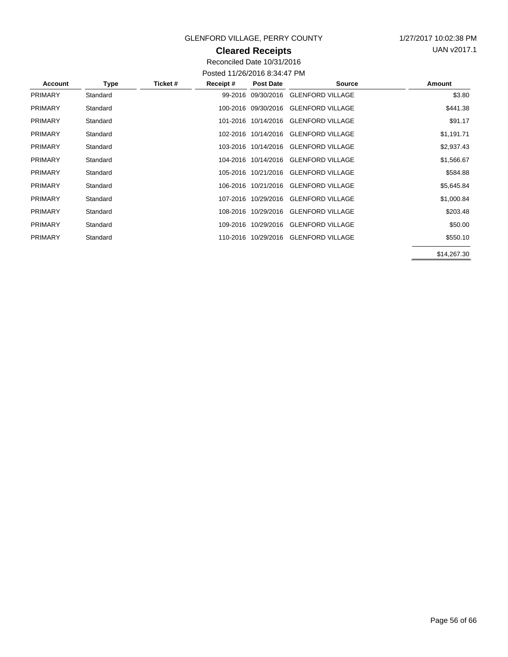## **Cleared Receipts**

UAN v2017.1

Reconciled Date 10/31/2016 Posted 11/26/2016 8:34:47 PM

| <b>Account</b> | Type     | Ticket # | Receipt# | <b>Post Date</b>    | <b>Source</b>                        | Amount      |
|----------------|----------|----------|----------|---------------------|--------------------------------------|-------------|
| <b>PRIMARY</b> | Standard |          |          | 99-2016 09/30/2016  | <b>GLENFORD VILLAGE</b>              | \$3.80      |
| <b>PRIMARY</b> | Standard |          |          | 100-2016 09/30/2016 | <b>GLENFORD VILLAGE</b>              | \$441.38    |
| <b>PRIMARY</b> | Standard |          |          | 101-2016 10/14/2016 | <b>GLENFORD VILLAGE</b>              | \$91.17     |
| <b>PRIMARY</b> | Standard |          |          |                     | 102-2016 10/14/2016 GLENFORD VILLAGE | \$1,191.71  |
| <b>PRIMARY</b> | Standard |          |          | 103-2016 10/14/2016 | <b>GLENFORD VILLAGE</b>              | \$2,937.43  |
| <b>PRIMARY</b> | Standard |          |          | 104-2016 10/14/2016 | <b>GLENFORD VILLAGE</b>              | \$1,566.67  |
| <b>PRIMARY</b> | Standard |          |          |                     | 105-2016 10/21/2016 GLENFORD VILLAGE | \$584.88    |
| <b>PRIMARY</b> | Standard |          |          | 106-2016 10/21/2016 | <b>GLENFORD VILLAGE</b>              | \$5,645.84  |
| <b>PRIMARY</b> | Standard |          |          | 107-2016 10/29/2016 | <b>GLENFORD VILLAGE</b>              | \$1,000.84  |
| <b>PRIMARY</b> | Standard |          |          | 108-2016 10/29/2016 | <b>GLENFORD VILLAGE</b>              | \$203.48    |
| <b>PRIMARY</b> | Standard |          |          | 109-2016 10/29/2016 | <b>GLENFORD VILLAGE</b>              | \$50.00     |
| <b>PRIMARY</b> | Standard |          |          | 110-2016 10/29/2016 | <b>GLENFORD VILLAGE</b>              | \$550.10    |
|                |          |          |          |                     |                                      | \$14,267.30 |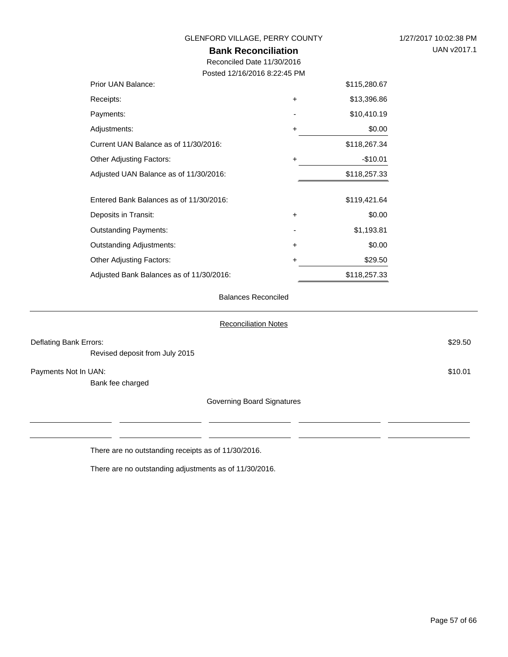| 1/27/2017 10:02:38 PM |  |
|-----------------------|--|
| UAN v2017.1           |  |

#### GLENFORD VILLAGE, PERRY COUNTY

# **Bank Reconciliation**

Reconciled Date 11/30/2016 Posted 12/16/2016 8:22:45 PM

| Prior UAN Balance:                       |           | \$115,280.67 |
|------------------------------------------|-----------|--------------|
| Receipts:                                | $\ddot{}$ | \$13,396.86  |
| Payments:                                |           | \$10,410.19  |
| Adjustments:                             | +         | \$0.00       |
| Current UAN Balance as of 11/30/2016:    |           | \$118,267.34 |
| <b>Other Adjusting Factors:</b>          | +         | $-$10.01$    |
| Adjusted UAN Balance as of 11/30/2016:   |           | \$118,257.33 |
| Entered Bank Balances as of 11/30/2016:  |           | \$119,421.64 |
| Deposits in Transit:                     | $\ddot{}$ | \$0.00       |
| <b>Outstanding Payments:</b>             |           | \$1,193.81   |
| <b>Outstanding Adjustments:</b>          | +         | \$0.00       |
| <b>Other Adjusting Factors:</b>          | +         | \$29.50      |
| Adjusted Bank Balances as of 11/30/2016: |           | \$118,257.33 |

#### Balances Reconciled

|                                | <b>Reconciliation Notes</b> |         |
|--------------------------------|-----------------------------|---------|
| Deflating Bank Errors:         |                             | \$29.50 |
| Revised deposit from July 2015 |                             |         |
| Payments Not In UAN:           |                             | \$10.01 |
| Bank fee charged               |                             |         |
|                                | Governing Board Signatures  |         |
|                                |                             |         |
|                                |                             |         |

There are no outstanding receipts as of 11/30/2016.

There are no outstanding adjustments as of 11/30/2016.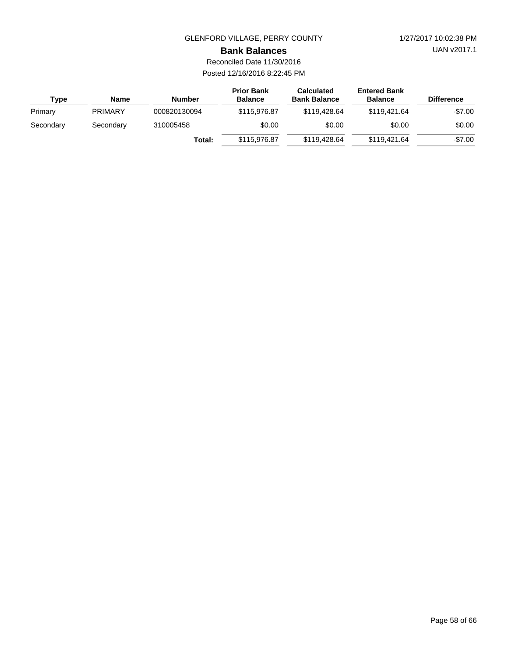UAN v2017.1

#### **Bank Balances**

| <b>Type</b> | Name           | <b>Number</b> | <b>Prior Bank</b><br><b>Balance</b> | <b>Calculated</b><br><b>Bank Balance</b> | <b>Entered Bank</b><br><b>Balance</b> | <b>Difference</b> |
|-------------|----------------|---------------|-------------------------------------|------------------------------------------|---------------------------------------|-------------------|
| Primary     | <b>PRIMARY</b> | 000820130094  | \$115,976.87                        | \$119,428,64                             | \$119,421,64                          | $-$7.00$          |
| Secondary   | Secondary      | 310005458     | \$0.00                              | \$0.00                                   | \$0.00                                | \$0.00            |
|             |                | Total:        | \$115,976.87                        | \$119,428.64                             | \$119,421,64                          | $-$7.00$          |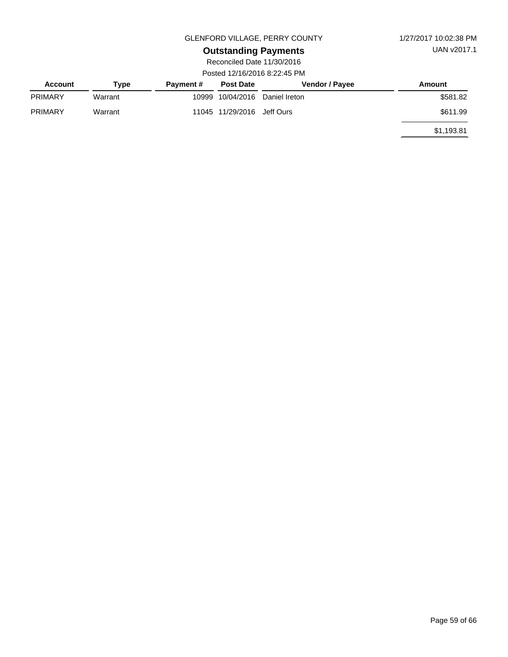UAN v2017.1

#### GLENFORD VILLAGE, PERRY COUNTY 1/27/2017 10:02:38 PM

# **Outstanding Payments**

| <b>Account</b> | Type    | <b>Payment #</b> | <b>Post Date</b>           | <b>Vendor / Payee</b>    | Amount     |
|----------------|---------|------------------|----------------------------|--------------------------|------------|
| <b>PRIMARY</b> | Warrant | 10999            |                            | 10/04/2016 Daniel Ireton | \$581.82   |
| <b>PRIMARY</b> | Warrant |                  | 11045 11/29/2016 Jeff Ours |                          | \$611.99   |
|                |         |                  |                            |                          | \$1,193.81 |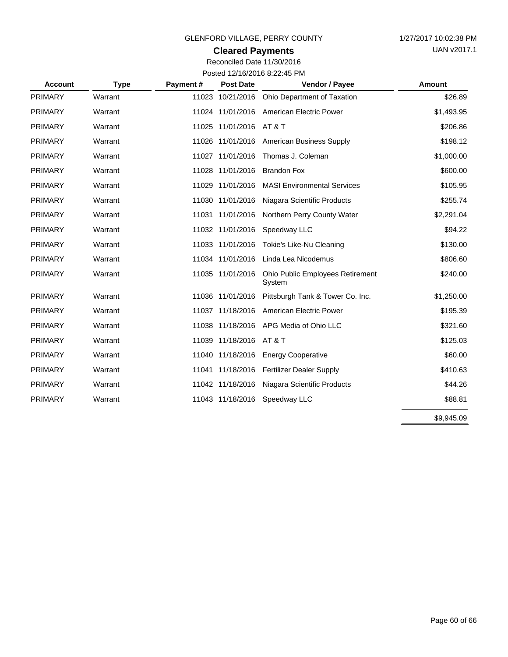## **Cleared Payments**

| <b>Account</b> | <b>Type</b> | Payment# | <b>Post Date</b> | Vendor / Payee                             | Amount     |
|----------------|-------------|----------|------------------|--------------------------------------------|------------|
| <b>PRIMARY</b> | Warrant     |          | 11023 10/21/2016 | Ohio Department of Taxation                | \$26.89    |
| <b>PRIMARY</b> | Warrant     |          |                  | 11024 11/01/2016 American Electric Power   | \$1,493.95 |
| <b>PRIMARY</b> | Warrant     |          | 11025 11/01/2016 | AT & T                                     | \$206.86   |
| <b>PRIMARY</b> | Warrant     |          | 11026 11/01/2016 | <b>American Business Supply</b>            | \$198.12   |
| <b>PRIMARY</b> | Warrant     |          | 11027 11/01/2016 | Thomas J. Coleman                          | \$1,000.00 |
| <b>PRIMARY</b> | Warrant     |          | 11028 11/01/2016 | <b>Brandon Fox</b>                         | \$600.00   |
| <b>PRIMARY</b> | Warrant     |          | 11029 11/01/2016 | <b>MASI Environmental Services</b>         | \$105.95   |
| <b>PRIMARY</b> | Warrant     |          | 11030 11/01/2016 | Niagara Scientific Products                | \$255.74   |
| <b>PRIMARY</b> | Warrant     |          | 11031 11/01/2016 | Northern Perry County Water                | \$2,291.04 |
| <b>PRIMARY</b> | Warrant     |          | 11032 11/01/2016 | Speedway LLC                               | \$94.22    |
| <b>PRIMARY</b> | Warrant     |          | 11033 11/01/2016 | Tokie's Like-Nu Cleaning                   | \$130.00   |
| <b>PRIMARY</b> | Warrant     |          | 11034 11/01/2016 | Linda Lea Nicodemus                        | \$806.60   |
| <b>PRIMARY</b> | Warrant     |          | 11035 11/01/2016 | Ohio Public Employees Retirement<br>System | \$240.00   |
| <b>PRIMARY</b> | Warrant     |          | 11036 11/01/2016 | Pittsburgh Tank & Tower Co. Inc.           | \$1,250.00 |
| <b>PRIMARY</b> | Warrant     |          | 11037 11/18/2016 | American Electric Power                    | \$195.39   |
| <b>PRIMARY</b> | Warrant     |          | 11038 11/18/2016 | APG Media of Ohio LLC                      | \$321.60   |
| <b>PRIMARY</b> | Warrant     |          | 11039 11/18/2016 | AT & T                                     | \$125.03   |
| <b>PRIMARY</b> | Warrant     |          | 11040 11/18/2016 | <b>Energy Cooperative</b>                  | \$60.00    |
| <b>PRIMARY</b> | Warrant     |          | 11041 11/18/2016 | <b>Fertilizer Dealer Supply</b>            | \$410.63   |
| <b>PRIMARY</b> | Warrant     |          | 11042 11/18/2016 | Niagara Scientific Products                | \$44.26    |
| <b>PRIMARY</b> | Warrant     |          | 11043 11/18/2016 | Speedway LLC                               | \$88.81    |
|                |             |          |                  |                                            | \$9,945.09 |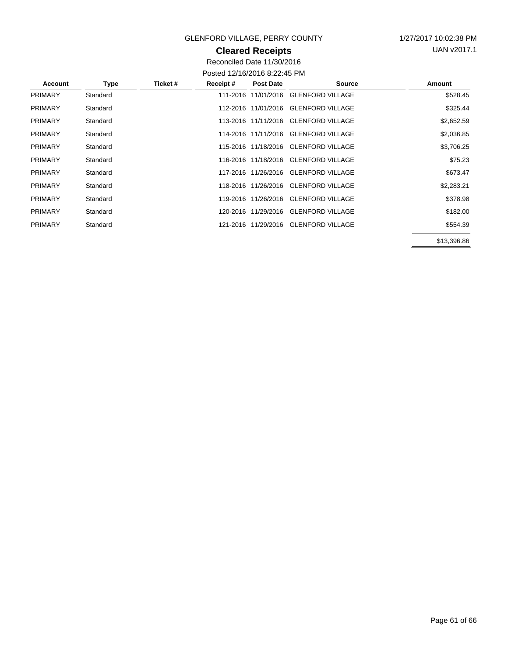## **Cleared Receipts**

UAN v2017.1

| Account        | Type     | Ticket # | Receipt# | <b>Post Date</b>    | <b>Source</b>                        | Amount      |
|----------------|----------|----------|----------|---------------------|--------------------------------------|-------------|
| <b>PRIMARY</b> | Standard |          | 111-2016 | 11/01/2016          | <b>GLENFORD VILLAGE</b>              | \$528.45    |
| <b>PRIMARY</b> | Standard |          |          | 112-2016 11/01/2016 | <b>GLENFORD VILLAGE</b>              | \$325.44    |
| <b>PRIMARY</b> | Standard |          |          |                     | 113-2016 11/11/2016 GLENFORD VILLAGE | \$2,652.59  |
| <b>PRIMARY</b> | Standard |          |          |                     | 114-2016 11/11/2016 GLENFORD VILLAGE | \$2,036.85  |
| <b>PRIMARY</b> | Standard |          |          |                     | 115-2016 11/18/2016 GLENFORD VILLAGE | \$3,706.25  |
| <b>PRIMARY</b> | Standard |          |          | 116-2016 11/18/2016 | <b>GLENFORD VILLAGE</b>              | \$75.23     |
| <b>PRIMARY</b> | Standard |          |          | 117-2016 11/26/2016 | <b>GLENFORD VILLAGE</b>              | \$673.47    |
| <b>PRIMARY</b> | Standard |          | 118-2016 | 11/26/2016          | <b>GLENFORD VILLAGE</b>              | \$2,283.21  |
| <b>PRIMARY</b> | Standard |          | 119-2016 | 11/26/2016          | <b>GLENFORD VILLAGE</b>              | \$378.98    |
| <b>PRIMARY</b> | Standard |          |          | 120-2016 11/29/2016 | <b>GLENFORD VILLAGE</b>              | \$182.00    |
| <b>PRIMARY</b> | Standard |          |          |                     | 121-2016 11/29/2016 GLENFORD VILLAGE | \$554.39    |
|                |          |          |          |                     |                                      | \$13,396.86 |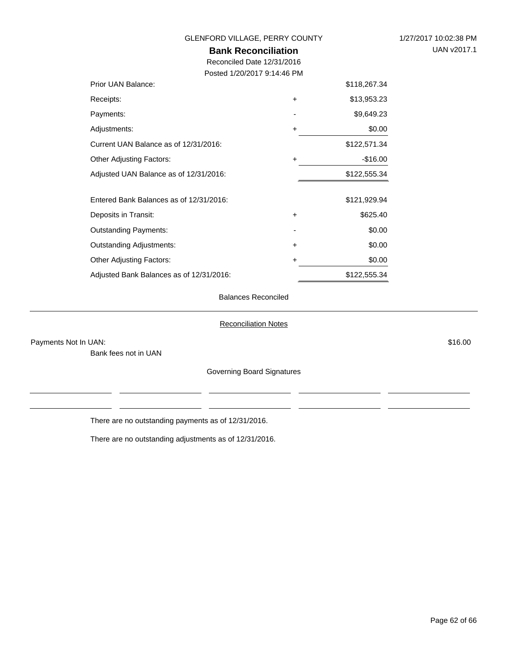| GLENFORD VILLAGE, PERRY COUNTY           | 1/27/2017 10:02:38 PM |              |             |
|------------------------------------------|-----------------------|--------------|-------------|
| <b>Bank Reconciliation</b>               |                       |              | UAN v2017.1 |
| Reconciled Date 12/31/2016               |                       |              |             |
| Posted 1/20/2017 9:14:46 PM              |                       |              |             |
| Prior UAN Balance:                       |                       | \$118,267.34 |             |
| Receipts:                                | +                     | \$13,953.23  |             |
| Payments:                                |                       | \$9,649.23   |             |
| Adjustments:                             | +                     | \$0.00       |             |
| Current UAN Balance as of 12/31/2016:    |                       | \$122,571.34 |             |
| <b>Other Adjusting Factors:</b>          | +                     | $-$16.00$    |             |
| Adjusted UAN Balance as of 12/31/2016:   |                       | \$122,555.34 |             |
| Entered Bank Balances as of 12/31/2016:  |                       | \$121,929.94 |             |
| Deposits in Transit:                     | +                     | \$625.40     |             |
| <b>Outstanding Payments:</b>             |                       | \$0.00       |             |
| <b>Outstanding Adjustments:</b>          | +                     | \$0.00       |             |
| <b>Other Adjusting Factors:</b>          | +                     | \$0.00       |             |
| Adjusted Bank Balances as of 12/31/2016: |                       | \$122,555.34 |             |

#### Balances Reconciled

#### Reconciliation Notes

Payments Not In UAN: \$16.00

Bank fees not in UAN

Governing Board Signatures

There are no outstanding payments as of 12/31/2016.

There are no outstanding adjustments as of 12/31/2016.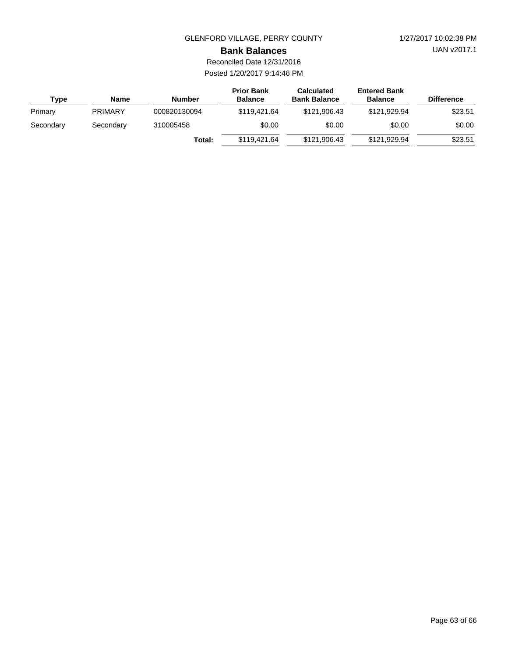UAN v2017.1

#### **Bank Balances**

Reconciled Date 12/31/2016 Posted 1/20/2017 9:14:46 PM

| Type      | Name           | <b>Number</b>       | <b>Prior Bank</b><br><b>Balance</b> | <b>Calculated</b><br><b>Bank Balance</b> | <b>Entered Bank</b><br><b>Balance</b> | <b>Difference</b> |
|-----------|----------------|---------------------|-------------------------------------|------------------------------------------|---------------------------------------|-------------------|
| Primary   | <b>PRIMARY</b> | 000820130094        | \$119,421,64                        | \$121,906.43                             | \$121.929.94                          | \$23.51           |
| Secondary | Secondary      | \$0.00<br>310005458 |                                     | \$0.00                                   | \$0.00                                | \$0.00            |
|           |                | Total:              | \$119,421,64                        | \$121,906.43                             | \$121,929.94                          | \$23.51           |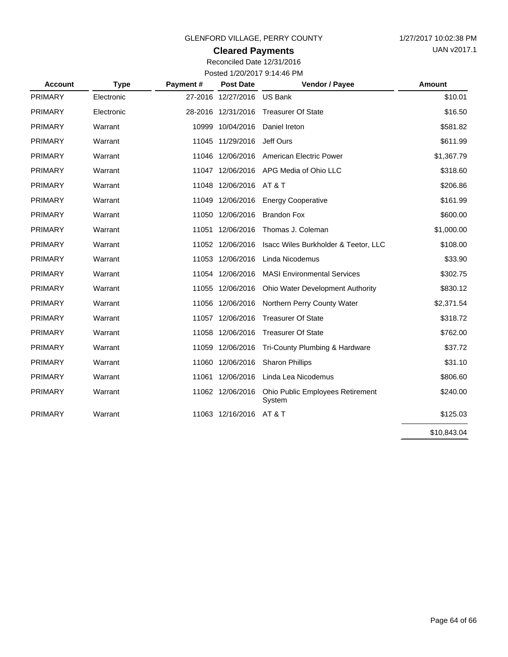## **Cleared Payments**

Reconciled Date 12/31/2016 Posted 1/20/2017 9:14:46 PM

| <b>Account</b> | <b>Type</b> | Payment# | <b>Post Date</b>   | <b>Vendor / Payee</b>                      | Amount      |
|----------------|-------------|----------|--------------------|--------------------------------------------|-------------|
| <b>PRIMARY</b> | Electronic  |          | 27-2016 12/27/2016 | <b>US Bank</b>                             | \$10.01     |
| <b>PRIMARY</b> | Electronic  |          | 28-2016 12/31/2016 | <b>Treasurer Of State</b>                  | \$16.50     |
| <b>PRIMARY</b> | Warrant     |          | 10999 10/04/2016   | Daniel Ireton                              | \$581.82    |
| <b>PRIMARY</b> | Warrant     |          | 11045 11/29/2016   | Jeff Ours                                  | \$611.99    |
| <b>PRIMARY</b> | Warrant     |          | 11046 12/06/2016   | American Electric Power                    | \$1,367.79  |
| <b>PRIMARY</b> | Warrant     |          | 11047 12/06/2016   | APG Media of Ohio LLC                      | \$318.60    |
| <b>PRIMARY</b> | Warrant     |          | 11048 12/06/2016   | <b>AT &amp; T</b>                          | \$206.86    |
| <b>PRIMARY</b> | Warrant     |          | 11049 12/06/2016   | <b>Energy Cooperative</b>                  | \$161.99    |
| <b>PRIMARY</b> | Warrant     |          | 11050 12/06/2016   | <b>Brandon Fox</b>                         | \$600.00    |
| <b>PRIMARY</b> | Warrant     |          | 11051 12/06/2016   | Thomas J. Coleman                          | \$1,000.00  |
| <b>PRIMARY</b> | Warrant     |          | 11052 12/06/2016   | Isacc Wiles Burkholder & Teetor, LLC       | \$108.00    |
| <b>PRIMARY</b> | Warrant     |          | 11053 12/06/2016   | Linda Nicodemus                            | \$33.90     |
| <b>PRIMARY</b> | Warrant     |          | 11054 12/06/2016   | <b>MASI Environmental Services</b>         | \$302.75    |
| <b>PRIMARY</b> | Warrant     |          | 11055 12/06/2016   | <b>Ohio Water Development Authority</b>    | \$830.12    |
| <b>PRIMARY</b> | Warrant     |          | 11056 12/06/2016   | Northern Perry County Water                | \$2,371.54  |
| <b>PRIMARY</b> | Warrant     |          | 11057 12/06/2016   | <b>Treasurer Of State</b>                  | \$318.72    |
| <b>PRIMARY</b> | Warrant     |          | 11058 12/06/2016   | <b>Treasurer Of State</b>                  | \$762.00    |
| <b>PRIMARY</b> | Warrant     |          | 11059 12/06/2016   | Tri-County Plumbing & Hardware             | \$37.72     |
| <b>PRIMARY</b> | Warrant     |          | 11060 12/06/2016   | <b>Sharon Phillips</b>                     | \$31.10     |
| <b>PRIMARY</b> | Warrant     |          | 11061 12/06/2016   | Linda Lea Nicodemus                        | \$806.60    |
| <b>PRIMARY</b> | Warrant     |          | 11062 12/06/2016   | Ohio Public Employees Retirement<br>System | \$240.00    |
| <b>PRIMARY</b> | Warrant     |          | 11063 12/16/2016   | <b>AT &amp; T</b>                          | \$125.03    |
|                |             |          |                    |                                            | \$10,843.04 |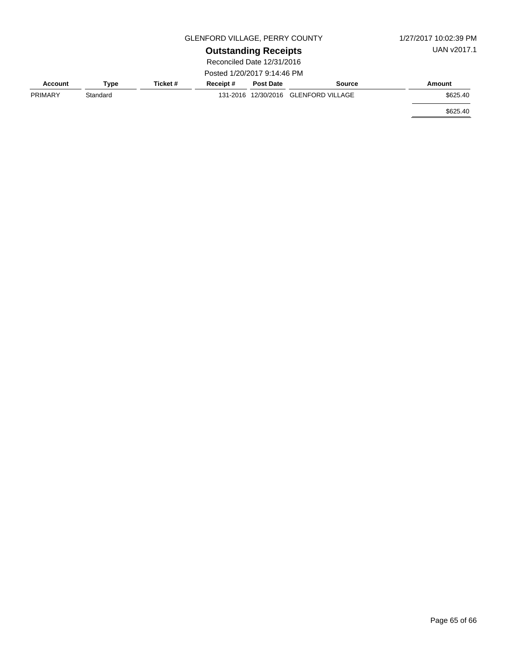|                            |             | 1/27/2017 10:02:39 PM |                             |                  |                                      |          |  |
|----------------------------|-------------|-----------------------|-----------------------------|------------------|--------------------------------------|----------|--|
|                            | UAN v2017.1 |                       |                             |                  |                                      |          |  |
| Reconciled Date 12/31/2016 |             |                       |                             |                  |                                      |          |  |
|                            |             |                       | Posted 1/20/2017 9:14:46 PM |                  |                                      |          |  |
| Account                    | Type        | Ticket #              | Receipt#                    | <b>Post Date</b> | <b>Source</b>                        | Amount   |  |
| <b>PRIMARY</b>             | Standard    |                       |                             |                  | 131-2016 12/30/2016 GLENFORD VILLAGE | \$625.40 |  |

\$625.40